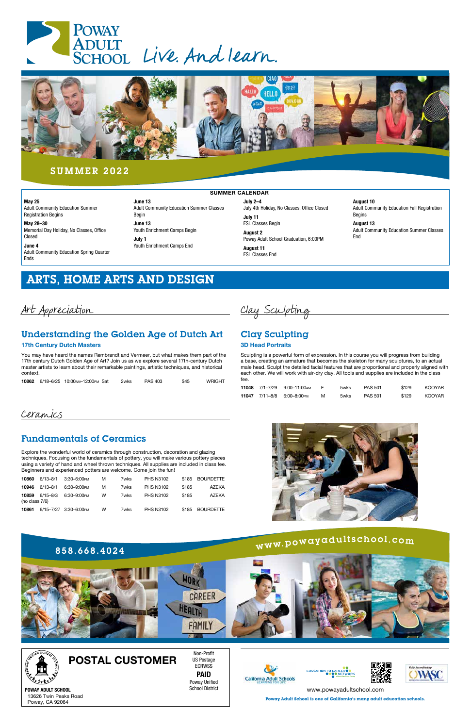## ARTS, HOME ARTS AND DESIGN

Art Appreciation

## [Understanding the Golden Age of Dutch Art](https://poway.augusoft.net/index.cfm?method=ClassInfo.ClassInformation&int_class_id=10862&int_category_id=0&int_sub_category_id=0&int_catalog_id=0)

### 17th Century Dutch Masters

You may have heard the names Rembrandt and Vermeer, but what makes them part of the 17th century Dutch Golden Age of Art? Join us as we explore several 17th-century Dutch master artists to learn about their remarkable paintings, artistic techniques, and historical context.

| <b>WRIGHT</b><br>10862 6/18-6/25 10:00 AM-12:00 PM Sat<br>\$45<br>PAS 403<br>2wks |  |
|-----------------------------------------------------------------------------------|--|
|-----------------------------------------------------------------------------------|--|

## Ceramics

## [Fundamentals of Ceramics](https://poway.augusoft.net/index.cfm?method=ClassInfo.ClassInformation&int_class_id=10860&int_category_id=0&int_sub_category_id=0&int_catalog_id=0)

Explore the wonderful world of ceramics through construction, decoration and glazing techniques. Focusing on the fundamentals of pottery, you will make various pottery pieces using a variety of hand and wheel thrown techniques. All supplies are included in class fee. Beginners and experienced potters are welcome. Come join the fun!

| 10860                      | $6/13 - 8/1$ | 3:30-6:00PM           | м | 7wks | <b>PHS N3102</b> | \$185 | <b>BOURDETTE</b> |
|----------------------------|--------------|-----------------------|---|------|------------------|-------|------------------|
| 10946                      | $6/13 - 8/1$ | 6:30-9:00PM           | м | 7wks | <b>PHS N3102</b> | \$185 | A7FKA            |
| 10859<br>(no class $7/6$ ) | 6/15-8/3     | 6:30-9:00PM           | w | 7wks | <b>PHS N3102</b> | \$185 | A7FKA            |
| 10861                      |              | 6/15-7/27 3:30-6:00PM | w | 7wks | <b>PHS N3102</b> | \$185 | <b>BOURDETTE</b> |

Clay Sculpting

## Clay Sculpting

### 3D Head Portraits

Sculpting is a powerful form of expression. In this course you will progress from building a base, creating an armature that becomes the skeleton for many sculptures, to an actual [male head. Sculpt the detailed facial features that are proportional and properly aligned with](https://poway.augusoft.net/index.cfm?method=ClassInfo.ClassInformation&int_class_id=11048&int_category_id=0&int_sub_category_id=0&int_catalog_id=0)  each other. We will work with air-dry clay. All tools and supplies are included in the class fee.

|  | <b>11048</b> 7/1–7/29 9:00–11:00ам F |    |      | 5wks PAS 501 | \$129 | KOOYAR |
|--|--------------------------------------|----|------|--------------|-------|--------|
|  | 11047 7/11-8/8 6:00-8:00 PM          | M. | 5wks | PAS 501      | \$129 | KOOYAR |



**Poway Adult School is one of California's many adult education schools.**

13626 Twin Peaks Road Poway, CA 92064

POSTAL CUSTOMER

Non-Profit US Postage ECRWSS PAID Poway Unified School District







POWAY ADULT SCHOOL **[www.powayadultschool.com](https://www.powayusd.com/en-US/Departments/CareerTechnicalAdultEd/PAS/Home)** school district the second business of the second business of the second of the second of the second business of the second business of the second business of the second busine





## SUMMER 2022

May 25 Adult Community Education Summer Registration Begins

May 28–30 Memorial Day Holiday, No Classes, Office Closed

June 4 Adult Community Education Spring Quarter Ends

June 13 Adult Community Education Summer Classes Begin June 13 Youth Enrichment Camps Begin

July 1 Youth Enrichment Camps End July 2–4 July 4th Holiday, No Classes, Office Closed

July 11 ESL Classes Begin

August 2 Poway Adult School Graduation, 6:00PM

August 11 ESL Classes End

#### August 10

Adult Community Education Fall Registration Begins

August 13

Adult Community Education Summer Classes End

SUMMER CALENDAR

# <sup>w</sup>ww.powayadultschool.co<sup>m</sup>





### 858.668.4024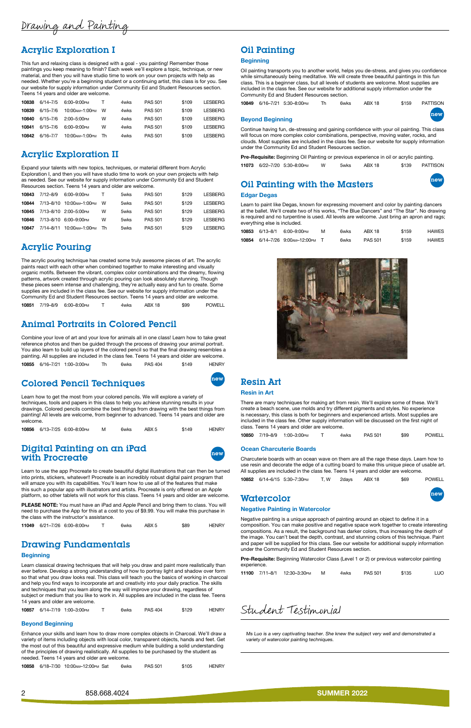

## Acrylic Exploration I

This fun and relaxing class is designed with a goal - you painting! Remember those paintings you keep meaning to finish? Each week we'll explore a topic, technique, or new material, and then you will have studio time to work on your own projects with help as [needed. Whether you're a beginning student or a continuing artist, this class is for you. See](https://poway.augusoft.net/index.cfm?method=ClassInfo.ClassInformation&int_class_id=10838&int_category_id=0&int_sub_category_id=0&int_catalog_id=0)  our website for supply information under Community Ed and Student Resources section. Teens 14 years and older are welcome.

| 10838 | 6/14-7/5     | 6:00-9:00рм      | т   | 4wks | <b>PAS 501</b> | \$109 | <b>LESBERG</b> |
|-------|--------------|------------------|-----|------|----------------|-------|----------------|
| 10839 | $6/15 - 7/6$ | 10:00 АМ-1:00 РМ | W   | 4wks | <b>PAS 501</b> | \$109 | LESBERG        |
| 10840 | $6/15 - 7/6$ | 2:00-5:00PM      | w   | 4wks | <b>PAS 501</b> | \$109 | <b>LESBERG</b> |
| 10841 | $6/15 - 7/6$ | 6:00-9:00PM      | w   | 4wks | <b>PAS 501</b> | \$109 | <b>LESBERG</b> |
| 10842 | 6/16-7/7     | 10:00 мм-1:00 м  | -Th | 4wks | <b>PAS 501</b> | \$109 | LESBERG        |

## Acrylic Exploration II

Expand your talents with new topics, techniques, or material different from Acrylic [Exploration I, and then you will have studio time to work on your own projects with help](https://poway.augusoft.net/index.cfm?method=ClassInfo.ClassInformation&int_class_id=10843&int_category_id=0&int_sub_category_id=0&int_catalog_id=0)  as needed. See our website for supply information under Community Ed and Student Resources section. Teens 14 years and older are welcome.

| 10843 | $7/12 - 8/9$  | 6:00-9:00PM                                                                                          | T. | 5wks | <b>PAS 501</b> | \$129 | I FSBFRG        |
|-------|---------------|------------------------------------------------------------------------------------------------------|----|------|----------------|-------|-----------------|
| 10844 | $7/13 - 8/10$ | 10:00 - 10:00 - 10:00 - 10:00 - 10:00 - 10:00 - 10:00 - 10:00 - 10:00 - 10:00 - 10:00 - 10:00 - 10:0 | w  | 5wks | <b>PAS 501</b> | \$129 | <b>I ESBERG</b> |
| 10845 |               | 7/13-8/10 2:00-5:00 PM                                                                               | w  | 5wks | <b>PAS 501</b> | \$129 | I FSBFRG        |
| 10846 |               | 7/13-8/10 6:00-9:00PM                                                                                | w  | 5wks | <b>PAS 501</b> | \$129 | I FSBFRG        |
| 10847 | 7/14-8/11     | 10:00 мм-1:00 м                                                                                      | Th | 5wks | <b>PAS 501</b> | \$129 | I FSBFRG        |
|       |               |                                                                                                      |    |      |                |       |                 |

## Acrylic Pouring

### [Digital Painting on an iPad](https://poway.augusoft.net/index.cfm?method=ClassInfo.ClassInformation&int_class_id=11049&int_category_id=0&int_sub_category_id=0&int_catalog_id=0)  with Procreate



The acrylic pouring technique has created some truly awesome pieces of art. The acrylic paints react with each other when combined together to make interesting and visually [organic motifs. Between the vibrant, complex color combinations and the dreamy, flowing](https://poway.augusoft.net/index.cfm?method=ClassInfo.ClassInformation&int_class_id=10851&int_category_id=0&int_sub_category_id=0&int_catalog_id=0)  patterns, artwork created through acrylic pouring can look absolutely stunning. Though these pieces seem intense and challenging, they're actually easy and fun to create. Some supplies are included in the class fee. See our website for supply information under the Community Ed and Student Resources section. Teens 14 years and older are welcome. 10851 7/19–8/9 6:00–8:00pm T 4wks ABX 18 \$99 POWELL

PLEASE NOTE: You must have an iPad and Apple Pencil and bring them to class. You will need to purchase the App for this at a cost to you of \$9.99. You will make this purchase in the class with the instructor's assistance.

## [Animal Portraits in Colored Pencil](https://poway.augusoft.net/index.cfm?method=ClassInfo.ClassInformation&int_class_id=10855&int_category_id=0&int_sub_category_id=0&int_catalog_id=0)

Combine your love of art and your love for animals all in one class! Learn how to take great reference photos and then be guided through the process of drawing your animal portrait. You also learn to build up layers of the colored pencil so that the final drawing resembles a painting. All supplies are included in the class fee. Teens 14 years and older are welcome.

10855 6/16–7/21 1:00–3:00pm Th 6wks PAS 404 \$149 HENRY

## [Colored Pencil Techniques](https://poway.augusoft.net/index.cfm?method=ClassInfo.ClassInformation&int_class_id=10856&int_category_id=0&int_sub_category_id=0&int_catalog_id=0)



Learn how to get the most from your colored pencils. We will explore a variety of techniques, tools and papers in this class to help you achieve stunning results in your drawings. Colored pencils combine the best things from drawing with the best things from painting! All levels are welcome, from beginner to advanced. Teens 14 years and older are welcome.

|  |  | 10856 6/13-7/25 6:00-8:00PM |  | 6wks |  | \$149 | <b>HENRY</b> |
|--|--|-----------------------------|--|------|--|-------|--------------|
|--|--|-----------------------------|--|------|--|-------|--------------|

Learn to use the app Procreate to create beautiful digital illustrations that can then be turned into prints, stickers, whatever!! Procreate is an incredibly robust digital paint program that will amaze you with its capabilities. You'll learn how to use all of the features that make this such a popular app with illustrators and artists. Procreate is only offered on an Apple platform, so other tablets will not work for this class. Teens 14 years and older are welcome.

|  |  | 11049 6/21-7/26 6:00-8:00PM |  | 6wks |  | \$89 | <b>HENRY</b> |
|--|--|-----------------------------|--|------|--|------|--------------|
|--|--|-----------------------------|--|------|--|------|--------------|

### Drawing Fundamentals

#### **Beginning**

Learn classical drawing techniques that will help you draw and paint more realistically than ever before. Develop a strong understanding of how to portray light and shadow over form [so that what you draw looks real. This class will teach you the basics of working in charcoal](https://poway.augusoft.net/index.cfm?method=ClassInfo.ClassInformation&int_class_id=10857&int_category_id=0&int_sub_category_id=0&int_catalog_id=0)  and help you find ways to incorporate art and creativity into your daily practice. The skills and techniques that you learn along the way will improve your drawing, regardless of subject or medium that you like to work in. All supplies are included in the class fee. Teens 14 years and older are welcome.

10857 6/14–7/19 1:00–3:00pm T 6wks PAS 404 \$129 HENRY

#### Beyond Beginning

[Enhance your skills and learn how to draw more complex objects in Charcoal. We'll draw a](https://poway.augusoft.net/index.cfm?method=ClassInfo.ClassInformation&int_class_id=10858&int_category_id=0&int_sub_category_id=0&int_catalog_id=0)  variety of items including objects with local color, transparent objects, hands and feet. Get the most out of this beautiful and expressive medium while building a solid understanding of the principles of drawing realistically. All supplies to be purchased by the student as needed. Teens 14 years and older are welcome.

10858 6/18-7/30 10:00 AM-12:00 PM Sat 6wks PAS 501 \$105 HENRY

## Oil Painting

#### **Beginning**

[Oil painting transports you to another world, helps you de-stress, and gives you confidence](https://poway.augusoft.net/index.cfm?method=ClassInfo.ClassInformation&int_class_id=10849&int_category_id=0&int_sub_category_id=0&int_catalog_id=0)  while simultaneously being meditative. We will create three beautiful paintings in this fun class. This is a beginner class, but all levels of students are welcome. Most supplies are included in the class fee. See our website for additional supply information under the Community Ed and Student Resources section.

|  | 10849 6/16-7/21 5:30-8:00 PM | 6wks | ABX 18 | \$159 | PATTISON |
|--|------------------------------|------|--------|-------|----------|
|  |                              |      |        |       |          |

#### Beyond Beginning

new

Continue having fun, de-stressing and gaining confidence with your oil painting. This class will focus on more complex color combinations, perspective, moving water, rocks, and [clouds. Most supplies are included in the class fee. See our website for supply information](https://poway.augusoft.net/index.cfm?method=ClassInfo.ClassInformation&int_class_id=11073&int_category_id=0&int_sub_category_id=0&int_catalog_id=0)  under the Community Ed and Student Resources section.

Pre-Requisite: Beginning Oil Painting or previous experience in oil or acrylic painting.

11073 6/22–7/20 5:30–8:00pm W 5wks ABX 18 \$139 PATTISON

## [Oil Painting with the Masters](https://poway.augusoft.net/index.cfm?method=ClassInfo.ClassInformation&int_class_id=10853&int_category_id=0&int_sub_category_id=0&int_catalog_id=0) new

#### Edgar Degas

Learn to paint like Degas, known for expressing movement and color by painting dancers at the ballet. We'll create two of his works, "The Blue Dancers" and "The Star". No drawing is required and no turpentine is used. All levels are welcome. Just bring an apron and rags; everything else is included.

|  | 10853 6/13-8/1 6:00-9:00 PM        | м | 6wks | ARX 18         | \$159 | HAWES        |
|--|------------------------------------|---|------|----------------|-------|--------------|
|  | 10854 6/14-7/26 9:00 AM-12:00 PM T |   | 6wks | <b>PAS 501</b> | \$159 | <b>HAWES</b> |



## Resin Art

#### Resin in Art

[There are many techniques for making art from resin. We'll explore some of these. We'll](https://poway.augusoft.net/index.cfm?method=ClassInfo.ClassInformation&int_class_id=10850&int_category_id=0&int_sub_category_id=0&int_catalog_id=0)  create a beach scene, use molds and try different pigments and styles. No experience is necessary, this class is both for beginners and experienced artists. Most supplies are included in the class fee. Other supply information will be discussed on the first night of class. Teens 14 years and older are welcome.

|  |  | 10850 7/19-8/9 1:00-3:00 PM |  | 4wks | <b>PAS 501</b> | \$99 | <b>POWELL</b> |
|--|--|-----------------------------|--|------|----------------|------|---------------|
|--|--|-----------------------------|--|------|----------------|------|---------------|

#### Ocean Charcuterie Boards

Charcuterie boards with an ocean wave on them are all the rage these days. Learn how to [use resin and decorate the edge of a cutting board to make this unique piece of usable art.](https://poway.augusoft.net/index.cfm?method=ClassInfo.ClassInformation&int_class_id=10852&int_category_id=0&int_sub_category_id=0&int_catalog_id=0)  All supplies are included in the class fee. Teens 14 years and older are welcome.

|  |  | 10852 6/14-6/15 5:30-7:30PM |  |  | T, W 2days ABX 18 | \$69 | POWELL |
|--|--|-----------------------------|--|--|-------------------|------|--------|
|--|--|-----------------------------|--|--|-------------------|------|--------|

### Watercolor

#### Negative Painting in Watercolor

Negative painting is a unique approach of painting around an object to define it in a [composition. You can make positive and negative space work together to create interesting](https://poway.augusoft.net/index.cfm?method=ClassInfo.ClassInformation&int_class_id=11100&int_category_id=0&int_sub_category_id=0&int_catalog_id=0)  compositions. As a result, the background has darker colors, thus increasing the depth of

the image. You can't beat the depth, contrast, and stunning colors of this technique. Paint and paper will be supplied for this class. See our website for additional supply information under the Community Ed and Student Resources section.

Pre-Requisite: Beginning Watercolor Class (Level 1 or 2) or previous watercolor painting experience.

|  |  |  | 11100 7/11-8/1 12:30-3:30PM |  | 4wks | <b>PAS 501</b> | \$135 | LUO |
|--|--|--|-----------------------------|--|------|----------------|-------|-----|
|--|--|--|-----------------------------|--|------|----------------|-------|-----|

## Student Testimonial

Ms Luo is a very captivating teacher. She knew the subject very well and demonstrated a variety of watercolor painting techniques.

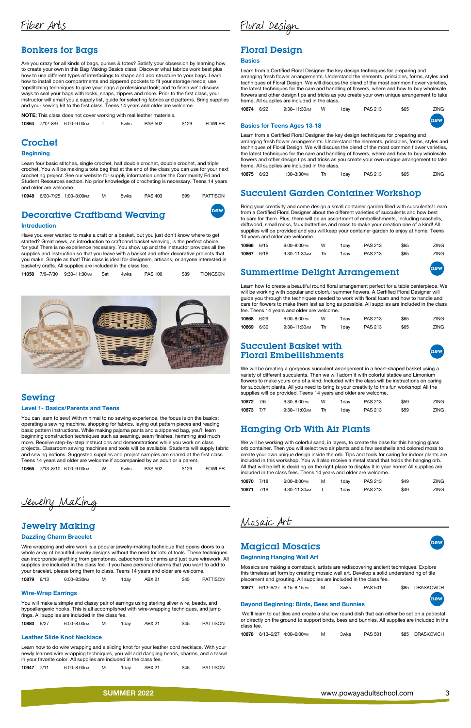### Bonkers for Bags

Are you crazy for all kinds of bags, purses & totes? Satisfy your obsession by learning how to create your own in this Bag Making Basics class. Discover what fabrics work best plus how to use different types of interfacings to shape and add structure to your bags. Learn how to install open compartments and zippered pockets to fit your storage needs; use topstitching techniques to give your bags a professional look; and to finish we'll discuss ways to seal your bags with locks, snaps, zippers and more. Prior to the first class, your [instructor will email you a supply list, guide for selecting fabrics and patterns. Bring supplies](https://poway.augusoft.net/index.cfm?method=ClassInfo.ClassInformation&int_class_id=10864&int_category_id=0&int_sub_category_id=0&int_catalog_id=0)  and your sewing kit to the first class. Teens 14 years and older are welcome.

NOTE: This class does not cover working with real leather materials.

|  | 10864 7/12-8/9 6:00-9:00PM | 5wks | PAS 502 | \$129 | FOWLER |
|--|----------------------------|------|---------|-------|--------|
|  |                            |      |         |       |        |

### Crochet

#### **Beginning**

Learn four basic stitches, single crochet, half double crochet, double crochet, and triple [crochet. You will be making a tote bag that at the end of the class you can use for your next](https://poway.augusoft.net/index.cfm?method=ClassInfo.ClassInformation&int_class_id=10948&int_category_id=0&int_sub_category_id=0&int_catalog_id=0)  crocheting project. See our website for supply information under the Community Ed and Student Resources section. No prior knowledge of crocheting is necessary. Teens 14 years and older are welcome.

|  |  |  | 10948 6/20-7/25 1:00-3:00PM |  | 5wks | <b>PAS 403</b> | \$99 | PATTISON |
|--|--|--|-----------------------------|--|------|----------------|------|----------|
|--|--|--|-----------------------------|--|------|----------------|------|----------|

## **[Decorative Craftband Weaving](https://poway.augusoft.net/index.cfm?method=ClassInfo.ClassInformation&int_class_id=11050&int_category_id=0&int_sub_category_id=0&int_catalog_id=0) Them**

#### Introduction

Have you ever wanted to make a craft or a basket, but you just don't know where to get started? Great news, an introduction to craftband basket weaving, is the perfect choice for you! There is no experience necessary. You show up and the instructor provides all the supplies and instruction so that you leave with a basket and other decorative projects that you make. Simple as that! This class is ideal for designers, artisans, or anyone interested in basketry crafts. All supplies are included in the class fee.

|  |  | 11050 7/9-7/30 9:30-11:30 AM | Sat | 4wks | <b>PAS 100</b> | \$89 | TIONGSON |
|--|--|------------------------------|-----|------|----------------|------|----------|
|--|--|------------------------------|-----|------|----------------|------|----------|



### Sewing

#### Level 1- Basics/Parents and Teens

You can learn to sew! With minimal to no sewing experience, the focus is on the basics: operating a sewing machine, shopping for fabrics, laying out pattern pieces and reading basic pattern instructions. While making pajama pants and a zippered bag, you'll learn beginning construction techniques such as seaming, seam finishes, hemming and much more. Receive step-by-step instructions and demonstrations while you work on class [projects. Classroom sewing machines and tools will be available. Students will supply fabric](https://poway.augusoft.net/index.cfm?method=ClassInfo.ClassInformation&int_class_id=10865&int_category_id=0&int_sub_category_id=0&int_catalog_id=0)  and sewing notions. Suggested supplies and project samples are shared at the first class. Teens 14 years and older are welcome if accompanied by an adult or a parent.

|  |  | 10865 7/13-8/10 6:00-9:00PM |  | 5wks | PAS 502 | \$129 | FOWLER |
|--|--|-----------------------------|--|------|---------|-------|--------|
|--|--|-----------------------------|--|------|---------|-------|--------|

Jewelry Making

## Jewelry Making

#### Dazzling Charm Bracelet

Wire wrapping and wire work is a popular jewelry-making technique that opens doors to a whole array of beautiful jewelry designs without the need for lots of tools. These techniques [can incorporate anything from gemstones, cabochons to charms and just pure wirework. All](https://poway.augusoft.net/index.cfm?method=ClassInfo.ClassInformation&int_class_id=10879&int_category_id=0&int_sub_category_id=0&int_catalog_id=0)  supplies are included in the class fee. If you have personal charms that you want to add to your bracelet, please bring them to class. Teens 14 years and older are welcome.

### Succulent Basket with Floral Embellishments

10879 6/13 6:00–8:30pm M 1day ABX 21 \$45 PATTISON

#### Wire-Wrap Earrings

You will make a simple and classy pair of earrings using sterling silver wire, beads, and [hypoallergenic hooks. This is all accomplished with wire-wrapping techniques, and jump](https://poway.augusoft.net/index.cfm?method=ClassInfo.ClassInformation&int_class_id=10880&int_category_id=0&int_sub_category_id=0&int_catalog_id=0)  rings. All supplies are included in the class fee.

| 10880 6/27 |  | 6:00-8:00PM |  | 1dav | <b>ABX 21</b> | \$45 | <b>PATTISON</b> |
|------------|--|-------------|--|------|---------------|------|-----------------|
|------------|--|-------------|--|------|---------------|------|-----------------|

#### Leather Slide Knot Necklace

Learn how to do wire wrapping and a sliding knot for your leather cord necklace. With your [newly learned wire wrapping techniques, you will add dangling beads, charms, and a tassel](https://poway.augusoft.net/index.cfm?method=ClassInfo.ClassInformation&int_class_id=10947&int_category_id=0&int_sub_category_id=0&int_catalog_id=0)  in your favorite color. All supplies are included in the class fee.

10947 7/11 6:00-8:00 M 1day ABX 21 \$45 PATTISON

### **Magical Mosaics**

Floral Design

### Floral Design

#### **Basics**

Learn from a Certified Floral Designer the key design techniques for preparing and [arranging fresh flower arrangements. Understand the elements, principles, forms, styles and](https://poway.augusoft.net/index.cfm?method=ClassInfo.ClassInformation&int_class_id=10874&int_category_id=0&int_sub_category_id=0&int_catalog_id=0)  techniques of Floral Design. We will discuss the blend of the most common flower varieties, the latest techniques for the care and handling of flowers, where and how to buy wholesale flowers and other design tips and tricks as you create your own unique arrangement to take home. All supplies are included in the class.

| 10874 6/22 | 9:30–11:30 м | 1dav | <b>PAS 213</b> | \$65 | <b>ZING</b> |
|------------|--------------|------|----------------|------|-------------|
|            |              |      |                |      |             |

#### Basics for Teens Ages 13-18

new

Learn from a Certified Floral Designer the key design techniques for preparing and [arranging fresh flower arrangements. Understand the elements, principles, forms, styles and](https://poway.augusoft.net/index.cfm?method=ClassInfo.ClassInformation&int_class_id=10875&int_category_id=0&int_sub_category_id=0&int_catalog_id=0)  techniques of Floral Design. We will discuss the blend of the most common flower varieties, the latest techniques for the care and handling of flowers, where and how to buy wholesale flowers and other design tips and tricks as you create your own unique arrangement to take home. All supplies are included in the class.

| 10875 6/23 | 1:30–3:30 <sub>PM</sub> | 1dav | <b>PAS 213</b> | \$65 | ZING. |
|------------|-------------------------|------|----------------|------|-------|

### [Succulent Garden Container Workshop](https://poway.augusoft.net/index.cfm?method=ClassInfo.ClassInformation&int_class_id=10866&int_category_id=0&int_sub_category_id=0&int_catalog_id=0)

Bring your creativity and come design a small container garden filled with succulents! Learn from a Certified Floral Designer about the different varieties of succulents and how best to care for them. Plus, there will be an assortment of embellishments, including seashells, driftwood, small rocks, faux butterflies and moss to make your creation one of a kind! All supplies will be provided and you will keep your container garden to enjoy at home. Teens 14 years and older are welcome.

| 10866 6/15 | 6:00-8:00PM   | w | 1dav | <b>PAS 213</b> | \$65 | <b>ZING</b> |
|------------|---------------|---|------|----------------|------|-------------|
| 10867 6/16 | 9:30–11:30 AM |   | 1dav | <b>PAS 213</b> | \$65 | <b>ZING</b> |

## [Summertime Delight Arrangement](https://poway.augusoft.net/index.cfm?method=ClassInfo.ClassInformation&int_class_id=10868&int_category_id=0&int_sub_category_id=0&int_catalog_id=0)

Learn how to create a beautiful round floral arrangement perfect for a table centerpiece. We will be working with popular and colorful summer flowers. A Certified Floral Designer will guide you through the techniques needed to work with floral foam and how to handle and care for flowers to make them last as long as possible. All supplies are included in the class fee. Teens 14 years and older are welcome.

| 10868 6/29 |      | 6:00-8:00PM  | w | 1dav | <b>PAS 213</b> | \$65 | ZING |
|------------|------|--------------|---|------|----------------|------|------|
| 10869      | 6/30 | 9:30–11:30ам |   | 1dav | <b>PAS 213</b> | \$65 | ZING |

We will be creating a gorgeous succulent arrangement in a heart-shaped basket using a variety of different succulents. Then we will adorn it with colorful statice and Limonium [flowers to make yours one of a kind. Included with the class will be instructions on caring](https://poway.augusoft.net/index.cfm?method=ClassInfo.ClassInformation&int_class_id=10872&int_category_id=0&int_sub_category_id=0&int_catalog_id=0)  for succulent plants. All you need to bring is your creativity to this fun workshop! All the supplies will be provided. Teens 14 years and older are welcome.

| 10872 7/6 | 6:30-8:00PM  | w | 1dav | <b>PAS 213</b> | \$59 | <b>ZING</b> |
|-----------|--------------|---|------|----------------|------|-------------|
| 10873 7/7 | 9:30–11:00 м |   | 1dav | <b>PAS 213</b> | \$59 | <b>ZING</b> |

### [Hanging Orb With Air Plants](https://poway.augusoft.net/index.cfm?method=ClassInfo.ClassInformation&int_class_id=10870&int_category_id=0&int_sub_category_id=0&int_catalog_id=0)

We will be working with colorful sand, in layers, to create the base for this hanging glass orb container. Then you will select two air plants and a few seashells and colored moss to create your own unique design inside the orb. Tips and tools for caring for indoor plants are included in this workshop. You will also receive a metal stand that holds the hanging orb. All that will be left is deciding on the right place to display it in your home! All supplies are included in the class fees. Teens 14 years and older are welcome.

| 10870 7/18 | 6:00-8:00PM   | м | 1dav | <b>PAS 213</b> | \$49 | <b>ZING</b> |
|------------|---------------|---|------|----------------|------|-------------|
| 10871 7/19 | 9:30-11:30 AM |   | 1dav | <b>PAS 213</b> | \$49 | ZING        |

Mosaic Art

#### Beginning Hanging Wall Art

[Mosaics are making a comeback, artists are rediscovering ancient techniques. Explore](https://poway.augusoft.net/index.cfm?method=ClassInfo.ClassInformation&int_class_id=10877&int_category_id=0&int_sub_category_id=0&int_catalog_id=0)  this timeless art form by creating mosaic wall art. Develop a solid understanding of tile placement and grouting. All supplies are included in the class fee.

10877 6/13–6/27 6:15–8:15pm M 3wks PAS 501 \$85 DRASKOVICH

#### Beyond Beginning: Birds, Bees and Bunnies

# new

 We'll learn to cut tiles and create a shallow round dish that can either be set on a pedestal [or directly on the ground to support birds, bees and bunnies. All supplies are included in the](https://poway.augusoft.net/index.cfm?method=ClassInfo.ClassInformation&int_class_id=10878&int_category_id=0&int_sub_category_id=0&int_catalog_id=0)  class fee.

|  |  | 10878 6/13-6/27 4:00-6:00PM |  | 3wks. | <b>PAS 501</b> |  | \$85 DRASKOVICH |
|--|--|-----------------------------|--|-------|----------------|--|-----------------|
|--|--|-----------------------------|--|-------|----------------|--|-----------------|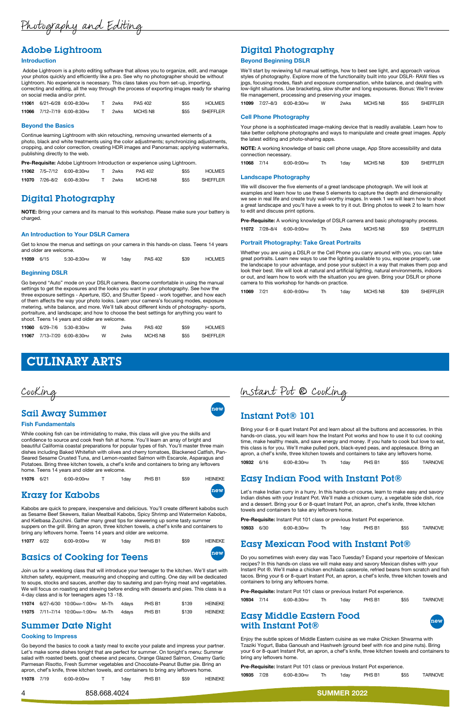Photography and Editing

### Adobe Lightroom

#### Introduction

 Adobe Lightroom is a photo editing software that allows you to organize, edit, and manage your photos quickly and efficiently like a pro. See why no photographer should be without Lightroom. No experience is necessary. This class takes you from set-up, importing, [correcting and editing, all the way through the process of exporting images ready for sharing](https://poway.augusoft.net/index.cfm?method=ClassInfo.ClassInformation&int_class_id=11061&int_category_id=0&int_sub_category_id=0&int_catalog_id=0)  on social media and/or print.

|  | 11061 6/21-6/28 6:00-8:30 PM | 2wks. | <b>PAS 402</b> | \$55 | <b>HOLMES</b> |
|--|------------------------------|-------|----------------|------|---------------|
|  | 11066 7/12-7/19 6:00-8:30 PM | 2wks  | MCHS N8        | \$55 | SHEFFLER      |

#### Beyond the Basics

Continue learning Lightroom with skin retouching, removing unwanted elements of a photo, black and white treatments using the color adjustments; synchronizing adjustments, [cropping, and color correction, creating HDR images and Panoramas; applying watermarks,](https://poway.augusoft.net/index.cfm?method=ClassInfo.ClassInformation&int_class_id=11062&int_category_id=0&int_sub_category_id=0&int_catalog_id=0)  publishing directly to the web.

Pre-Requisite: Adobe Lightroom Introduction or experience using Lightroom.

|  | 11062 7/5-7/12 6:00-8:30 PM | T 2wks | <b>PAS 402</b> | \$55 | HOLMES   |
|--|-----------------------------|--------|----------------|------|----------|
|  | 11070 7/26-8/2 6:00-8:30 PM | 2wks   | MCHS N8        | \$55 | SHEFFLER |

### Digital Photography

NOTE: Bring your camera and its manual to this workshop. Please make sure your battery is charged.

#### An Introduction to Your DSLR Camera

[Get to know the menus and settings on your camera in this hands-on class. Teens 14 years](https://poway.augusoft.net/index.cfm?method=ClassInfo.ClassInformation&int_class_id=11059&int_category_id=0&int_sub_category_id=0&int_catalog_id=0)  and older are welcome.

| 11059 6/15 |  | 5:30-8:30PM |  | 1dav | <b>PAS 402</b> | \$39 | <b>HOLMES</b> |
|------------|--|-------------|--|------|----------------|------|---------------|
|------------|--|-------------|--|------|----------------|------|---------------|

#### Beginning DSLR

Go beyond "Auto" mode on your DSLR camera. Become comfortable in using the manual settings to get the exposures and the looks you want in your photography. See how the [three exposure settings - Aperture, ISO, and Shutter Speed - work together, and how each](https://poway.augusoft.net/index.cfm?method=ClassInfo.ClassInformation&int_class_id=11060&int_category_id=0&int_sub_category_id=0&int_catalog_id=0)  of them affects the way your photo looks. Learn your camera's focusing modes, exposure metering, white balance, and more. We'll talk about different kinds of photography- sports, portraiture, and landscape; and how to choose the best settings for anything you want to shoot. Teens 14 years and older are welcome.

|  | 11060 6/29-7/6 5:30-8:30PM   | w | 2wks. | <b>PAS 402</b> | \$59 | <b>HOLMES</b> |
|--|------------------------------|---|-------|----------------|------|---------------|
|  | 11067 7/13-7/20 6:00-8:30 PM | W | 2wks. | MCHS N8        | \$55 | SHEFFLER      |

### Digital Photography

#### Beyond Beginning DSLR

We'll start by reviewing full manual settings, how to best see light, and approach various [styles of photography. Explore more of the functionality built into your DSLR- RAW files vs](https://poway.augusoft.net/index.cfm?method=ClassInfo.ClassInformation&int_class_id=11099&int_category_id=0&int_sub_category_id=0&int_catalog_id=0)  jpgs, focusing modes, flash and exposure compensation, white balance, and dealing with low-light situations. Use bracketing, slow shutter and long exposures. Bonus: We'll review file management, processing and preserving your images.

While cooking fish can be intimidating to make, this class will give you the skills and confidence to source and cook fresh fish at home. You'll learn an array of bright and beautiful California coastal preparations for popular types of fish. You'll master three main [dishes including Baked Whitefish with olives and cherry tomatoes, Blackened Catfish, Pan-](https://poway.augusoft.net/index.cfm?method=ClassInfo.ClassInformation&int_class_id=11076&int_category_id=0&int_sub_category_id=0&int_catalog_id=0)Seared Sesame Crusted Tuna, and Lemon-roasted Salmon with Escarole, Asparagus and Potatoes. Bring three kitchen towels, a chef's knife and containers to bring any leftovers home. Teens 14 years and older are welcome.

|  |  | 11099 7/27-8/3 6:00-8:30PM |  | 2wks | MCHS N8 | \$55 | SHEFFLER |
|--|--|----------------------------|--|------|---------|------|----------|
|--|--|----------------------------|--|------|---------|------|----------|

#### Cell Phone Photography

Your phone is a sophisticated image-making device that is readily available. Learn how to [take better cellphone photographs and ways to manipulate and create great images. Apply](https://poway.augusoft.net/index.cfm?method=ClassInfo.ClassInformation&int_class_id=11068&int_category_id=0&int_sub_category_id=0&int_catalog_id=0)  the latest editing and photo-sharing apps.

NOTE: A working knowledge of basic cell phone usage, App Store accessibility and data connection necessary.

| 11068 7/14 | 6:00-9:00PM | 1day | MCHS N8 | \$39 | SHEFFLER |
|------------|-------------|------|---------|------|----------|
|            |             |      |         |      |          |

#### Landscape Photography

We will discover the five elements of a great landscape photograph. We will look at examples and learn how to use these 5 elements to capture the depth and dimensionality [we see in real life and create truly wall-worthy images. In week 1 we will learn how to shoot](https://poway.augusoft.net/index.cfm?method=ClassInfo.ClassInformation&int_class_id=11072&int_category_id=0&int_sub_category_id=0&int_catalog_id=0)  a great landscape and you'll have a week to try it out. Bring photos to week 2 to learn how to edit and discuss print options.

| <b>Pre-Requisite:</b> A working knowledge of DSLR camera and basic photography process. |  |                                    |  |      |         |      |          |  |  |
|-----------------------------------------------------------------------------------------|--|------------------------------------|--|------|---------|------|----------|--|--|
|                                                                                         |  | <b>11072</b> 7/28–8/4 6:00–9:00 рм |  | 2wks | MCHS N8 | \$59 | SHEFFLER |  |  |

#### Portrait Photography: Take Great Portraits

Whether you are using a DSLR or the Cell Phone you carry around with you, you can take great portraits. Learn new ways to use the lighting available to you, expose properly, use [the landscape to your advantage, and pose your subject in a way that makes them pop and](https://poway.augusoft.net/index.cfm?method=ClassInfo.ClassInformation&int_class_id=11069&int_category_id=0&int_sub_category_id=0&int_catalog_id=0)  look their best. We will look at natural and artificial lighting, natural environments, indoors or out, and learn how to work with the situation you are given. Bring your DSLR or phone camera to this workshop for hands-on practice.

### [Easy Middle Eastern Food](https://poway.augusoft.net/index.cfm?method=ClassInfo.ClassInformation&int_class_id=10935&int_category_id=0&int_sub_category_id=0&int_catalog_id=0) with Instant Pot® new



| 11069 7/21 |  | 6:00-9:00PM |  | 1day | MCHS N8 | \$39 | SHEFFLER |
|------------|--|-------------|--|------|---------|------|----------|
|------------|--|-------------|--|------|---------|------|----------|

## CULINARY ARTS



## **Sail Away Summer new Account Away Summer new Account**

#### Fish Fundamentals

| 11076 6/21 | 6:00-9:00PM | 1day | PHS B1 | \$59 | <b>HEINEKE</b> |
|------------|-------------|------|--------|------|----------------|
|            |             |      |        |      |                |

## Krazy for Kabobs new

[Kabobs are quick to prepare, inexpensive and delicious. You'll create different kabobs such](https://poway.augusoft.net/index.cfm?method=ClassInfo.ClassInformation&int_class_id=11077&int_category_id=0&int_sub_category_id=0&int_catalog_id=0)  as Sesame Beef Skewers, Italian Meatball Kabobs, Spicy Shrimp and Watermelon Kabobs, and Kielbasa Zucchini. Gather many great tips for skewering up some tasty summer suppers on the grill. Bring an apron, three kitchen towels, a chef's knife and containers to bring any leftovers home. Teens 14 years and older are welcome.

## **[Basics of Cooking for Teens](https://poway.augusoft.net/index.cfm?method=ClassInfo.ClassInformation&int_class_id=11074&int_category_id=0&int_sub_category_id=0&int_catalog_id=0) new new Reset of Cooking for Teens**

Join us for a weeklong class that will introduce your teenager to the kitchen. We'll start with kitchen safety, equipment, measuring and chopping and cutting. One day will be dedicated to soups, stocks and sauces, another day to sauteing and pan-frying meat and vegetables. We will focus on roasting and stewing before ending with desserts and pies. This class is a 4-day class and is for teenagers ages 13 -18.

|  | 11074 6/27-6/30 10:00 AM-1:00 PM M-Th 4 days |  | PHS B1 | \$139 | <b>HEINEKE</b> |
|--|----------------------------------------------|--|--------|-------|----------------|
|  | 11075 7/11-7/14 10:00 AM-1:00 PM M-Th 4 days |  | PHS B1 | \$139 | HEINEKE        |

### Summer Date Night

#### Cooking to Impress

Go beyond the basics to cook a tasty meal to excite your palate and impress your partner. Let's make some dishes tonight that are perfect for summer. On tonight's menu: Summer [salad with roasted beets, goat cheese and pecans, Orange Glazed Salmon, Creamy Garlic](https://poway.augusoft.net/index.cfm?method=ClassInfo.ClassInformation&int_class_id=11078&int_category_id=0&int_sub_category_id=0&int_catalog_id=0)  Parmesan Risotto, Fresh Summer vegetables and Chocolate-Peanut Butter pie. Bring an apron, chef's knife, three kitchen towels, and containers to bring any leftovers home.

| 11078 7/19 |  | 6:00-9:00PM |  | 1day | PHS <sub>B1</sub> | \$59 | <b>HEINEKE</b> |
|------------|--|-------------|--|------|-------------------|------|----------------|
|------------|--|-------------|--|------|-------------------|------|----------------|

Instant Pot ® Cooking

### Instant Pot® 101

Bring your 6 or 8 quart Instant Pot and learn about all the buttons and accessories. In this hands-on class, you will learn how the Instant Pot works and how to use it to cut cooking [time, make healthy meals, and save energy and money. If you hate to cook but love to eat,](https://poway.augusoft.net/index.cfm?method=ClassInfo.ClassInformation&int_class_id=10932&int_category_id=0&int_sub_category_id=0&int_catalog_id=0)  this class is for you. We'll make pulled pork, black-eyed peas, and applesauce. Bring an apron, a chef's knife, three kitchen towels and containers to take any leftovers home.

| 10932 6/16 | 6:00–8:30 РМ | 1dav | PHS B1 | \$55 | <b>TARNOVE</b> |
|------------|--------------|------|--------|------|----------------|
|            |              |      |        |      |                |

### [Easy Indian Food with Instant Pot®](https://poway.augusoft.net/index.cfm?method=ClassInfo.ClassInformation&int_class_id=10933&int_category_id=0&int_sub_category_id=0&int_catalog_id=0)

Let's make Indian curry in a hurry. In this hands-on course, learn to make easy and savory Indian dishes with your Instant Pot. We'll make a chicken curry, a vegetable side dish, rice and a dessert. Bring your 6 or 8-quart Instant Pot, an apron, chef's knife, three kitchen towels and containers to take any leftovers home.

| <b>Pre-Requisite:</b> Instant Pot 101 class or previous Instant Pot experience. |  |             |  |      |        |      |                |  |  |  |
|---------------------------------------------------------------------------------|--|-------------|--|------|--------|------|----------------|--|--|--|
| 10933 6/30                                                                      |  | 6:00-8:30PM |  | 1dav | PHS B1 | \$55 | <b>TARNOVE</b> |  |  |  |

### [Easy Mexican Food with Instant Pot®](https://poway.augusoft.net/index.cfm?method=ClassInfo.ClassInformation&int_class_id=10934&int_category_id=0&int_sub_category_id=0&int_catalog_id=0)

Do you sometimes wish every day was Taco Tuesday? Expand your repertoire of Mexican recipes? In this hands-on class we will make easy and savory Mexican dishes with your Instant Pot ®. We'll make a chicken enchilada casserole, refried beans from scratch and fish tacos. Bring your 6 or 8-quart Instant Pot, an apron, a chef's knife, three kitchen towels and containers to bring any leftovers home.

Pre-Requisite: Instant Pot 101 class or previous Instant Pot experience.

| 10934 7/14 |  | 6:00-8:30PM |  | 1day | PHS <sub>B1</sub> | \$55 | TARNOVE |
|------------|--|-------------|--|------|-------------------|------|---------|
|------------|--|-------------|--|------|-------------------|------|---------|

Enjoy the subtle spices of Middle Eastern cuisine as we make Chicken Shwarma with Tzaziki Yogurt, Baba Ganoush and Hashweh (ground beef with rice and pine nuts). Bring your 6 or 8-quart Instant Pot, an apron, a chef's knife, three kitchen towels and containers to bring any leftovers home.

Pre-Requisite: Instant Pot 101 class or previous Instant Pot experience.

| 10935 7/28 |  | 6:00–8:30 РМ |  | 1day | PHS B1 | \$55 | TARNOVE |
|------------|--|--------------|--|------|--------|------|---------|
|------------|--|--------------|--|------|--------|------|---------|

### 4 858.668.4024 SUMMER 2022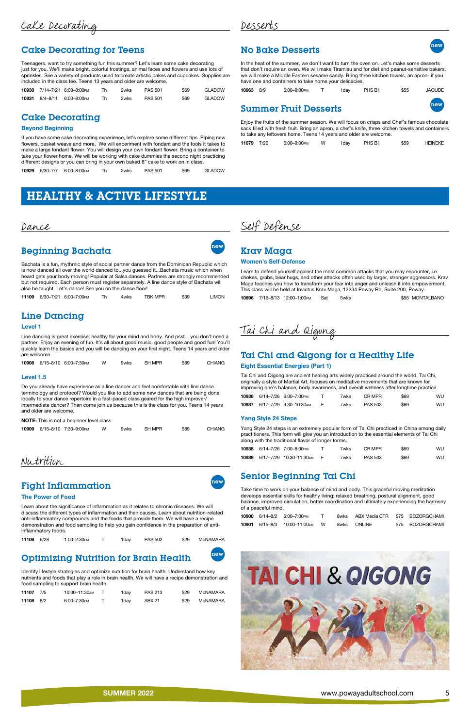Cake Decorating

## [Cake Decorating for Teens](https://poway.augusoft.net/index.cfm?method=ClassInfo.ClassInformation&int_class_id=10930&int_category_id=0&int_sub_category_id=0&int_catalog_id=0)

Teenagers, want to try something fun this summer? Let's learn some cake decorating just for you. We'll make bright, colorful frostings, animal faces and flowers and use lots of sprinkles. See a variety of products used to create artistic cakes and cupcakes. Supplies are included in the class fee. Teens 13 years and older are welcome.

|  | <b>10930</b> 7/14–7/21 6:00–8:00 рм |     | 2wks | <b>PAS 501</b> | \$69 | GLADOW |
|--|-------------------------------------|-----|------|----------------|------|--------|
|  | 10931 8/4-8/11 6:00-8:00PM          | Th. | 2wks | <b>PAS 501</b> | \$69 | GLADOW |

## Cake Decorating

### Beyond Beginning

[If you have some cake decorating experience, let's explore some different tips. Piping new](https://poway.augusoft.net/index.cfm?method=ClassInfo.ClassInformation&int_class_id=10929&int_category_id=0&int_sub_category_id=0&int_catalog_id=0)  flowers, basket weave and more. We will experiment with fondant and the tools it takes to make a large fondant flower. You will design your own fondant flower. Bring a container to take your flower home. We will be working with cake dummies the second night practicing different designs or you can bring in your own baked 8" cake to work on in class.

| GLADOW<br>10929 6/30-7/7 6:00-8:00PM<br><b>PAS 501</b><br>\$69<br>2wks |
|------------------------------------------------------------------------|
|------------------------------------------------------------------------|

## **No Bake Desserts** new

## Desserts

In the heat of the summer, we don't want to turn the oven on. Let's make some desserts [that don't require an oven. We will make Tiramisu and for diet and peanut-sensitive bakers,](https://poway.augusoft.net/index.cfm?method=ClassInfo.ClassInformation&int_class_id=10963&int_category_id=0&int_sub_category_id=0&int_catalog_id=0)  we will make a Middle Eastern sesame candy. Bring three kitchen towels, an apron- if you have one and containers to take home your delicacies.

| 10963 8/9 | 6:00-9:00рм | 1day | PHS B1 | \$55 | JAOUDE |
|-----------|-------------|------|--------|------|--------|
|           |             |      |        |      |        |



## **Summer Fruit Desserts**

Enjoy the fruits of the summer season. We will focus on crisps and Chef's famous chocolate [sack filled with fresh fruit. Bring an apron, a chef's knife, three kitchen towels and containers](https://poway.augusoft.net/index.cfm?method=ClassInfo.ClassInformation&int_class_id=11079&int_category_id=0&int_sub_category_id=0&int_catalog_id=0)  to take any leftovers home. Teens 14 years and older are welcome.

11079 7/20 6:00–9:00pm W 1day PHS B1 \$59 HEINEKE

## HEALTHY & ACTIVE LIFESTYLE

Dance

## Beginning Bachata

Bachata is a fun, rhythmic style of social partner dance from the Dominican Republic which is now danced all over the world danced to...you guessed it...Bachata music which when [heard gets your body moving! Popular at Salsa dances. Partners are strongly recommended](https://poway.augusoft.net/index.cfm?method=ClassInfo.ClassInformation&int_class_id=11109&int_category_id=0&int_sub_category_id=0&int_catalog_id=0)  but not required. Each person must register separately. A line dance style of Bachata will also be taught. Let's dance! See you on the dance floor!

|  |  | 11109 6/30-7/21 6:00-7:00PM |  | 4wks | TBK MPR | \$39 | LIMON |
|--|--|-----------------------------|--|------|---------|------|-------|
|--|--|-----------------------------|--|------|---------|------|-------|

### Line Dancing

#### Level 1

Line dancing is great exercise; healthy for your mind and body. And psst... you don't need a [partner. Enjoy an evening of fun. It's all about good music, good people and good fun! You'll](https://poway.augusoft.net/index.cfm?method=ClassInfo.ClassInformation&int_class_id=10908&int_category_id=0&int_sub_category_id=0&int_catalog_id=0)  quickly learn the basics and you will be dancing on your first night. Teens 14 years and older are welcome.

|  |  | 10908 6/15-8/10 6:00-7:30PM |  | 9wks | SH MPR | \$89 | <b>CHIANG</b> |
|--|--|-----------------------------|--|------|--------|------|---------------|
|--|--|-----------------------------|--|------|--------|------|---------------|

### Level 1.5

Do you already have experience as a line dancer and feel comfortable with line dance terminology and protocol? Would you like to add some new dances that are being done locally to your dance repertoire in a fast-paced class geared for the high improver/ [intermediate dancer? Then come join us because this is the class for you. Teens 14 years](https://poway.augusoft.net/index.cfm?method=ClassInfo.ClassInformation&int_class_id=10909&int_category_id=0&int_sub_category_id=0&int_catalog_id=0)  and older are welcome.

#### NOTE: This is not a beginner level class.

|  | 10909 6/15-8/10 7:30-9:00PM | W. | 9wks | SH MPR | \$89 | CHIANG |
|--|-----------------------------|----|------|--------|------|--------|
|  |                             |    |      |        |      |        |

Nutrition

## Fight Inflammation and the set of  $\frac{new}{new}$

#### The Power of Food

Learn about the significance of inflammation as it relates to chronic diseases. We will [discuss the different types of inflammation and their causes. Learn about nutrition-related](https://poway.augusoft.net/index.cfm?method=ClassInfo.ClassInformation&int_class_id=11106&int_category_id=0&int_sub_category_id=0&int_catalog_id=0)  anti-inflammatory compounds and the foods that provide them. We will have a recipe demonstration and food sampling to help you gain confidence in the preparation of antiinflammatory foods.

## [Optimizing Nutrition for Brain Health](https://poway.augusoft.net/index.cfm?method=ClassInfo.ClassInformation&int_class_id=11107&int_category_id=0&int_sub_category_id=0&int_catalog_id=0) new



Identify lifestyle strategies and optimize nutrition for brain health. Understand how key nutrients and foods that play a role in brain health. We will have a recipe demonstration and food sampling to support brain health.

| 11107 7/5 | 10:00–11:30 м | 1dav | <b>PAS 213</b> | \$29 | McNAMARA |
|-----------|---------------|------|----------------|------|----------|
| 11108 8/2 | 6:00-7:30PM   | 1dav | ABX 21         | \$29 | McNAMARA |



Self Defense

## Krav Maga

#### Women's Self-Defense

Learn to defend yourself against the most common attacks that you may encounter, i.e. [chokes, grabs, bear hugs, and other attacks often used by larger, stronger aggressors. Krav](https://poway.augusoft.net/index.cfm?method=ClassInfo.ClassInformation&int_class_id=10896&int_category_id=0&int_sub_category_id=0&int_catalog_id=0)  Maga teaches you how to transform your fear into anger and unleash it into empowerment. This class will be held at Invictus Krav Maga, 12234 Poway Rd, Suite 200, Poway.

10896 7/16–8/13 12:00–1:00pm Sat 5wks \$55 MONTALBANO

Tai Chi and Qigong

## [Tai Chi and Qigong for a Healthy Life](https://poway.augusoft.net/index.cfm?method=ClassInfo.ClassInformation&int_class_id=10936&int_category_id=0&int_sub_category_id=0&int_catalog_id=0)

#### Eight Essential Energies (Part 1)

Tai Chi and Qigong are ancient healing arts widely practiced around the world. Tai Chi, originally a style of Martial Art, focuses on meditative movements that are known for improving one's balance, body awareness, and overall wellness after longtime practice.

|  | 10936 6/14-7/26 6:00-7:00PM         |              | 7wks | CR MPR         | \$69 | WU |
|--|-------------------------------------|--------------|------|----------------|------|----|
|  | <b>10937</b> 6/17–7/29 9:30–10:30 м | $\mathbf{H}$ | 7wks | <b>PAS 503</b> | \$69 | WU |

#### Yang Style 24 Steps

[Yang Style 24 steps is an extremely popular form of Tai Chi practiced in China among daily](https://poway.augusoft.net/index.cfm?method=ClassInfo.ClassInformation&int_class_id=10938&int_category_id=0&int_sub_category_id=0&int_catalog_id=0)  practitioners. This form will give you an introduction to the essential elements of Tai Chi along with the traditional flavor of longer forms.

|  | 10938 6/14-7/26 7:00-8:00PM    | 7wks. | CR MPR         | \$69 | WU. |
|--|--------------------------------|-------|----------------|------|-----|
|  | 10939 6/17-7/29 10:30-11:30 AM | 7wks. | <b>PAS 503</b> | \$69 | WU  |

### Senior Beginning Tai Chi

Take time to work on your balance of mind and body. This graceful moving meditation develops essential skills for healthy living; relaxed breathing, postural alignment, good [balance, improved circulation, better coordination and ultimately experiencing the harmony](https://poway.augusoft.net/index.cfm?method=ClassInfo.ClassInformation&int_class_id=10900&int_category_id=0&int_sub_category_id=0&int_catalog_id=0)  of a peaceful mind.

|  | 10900 6/14-8/2 6:00-7:00 PM         |          | 8wks ABX Media CTR \$75 BOZORGCHAMI |                  |
|--|-------------------------------------|----------|-------------------------------------|------------------|
|  | <b>10901</b> 6/15–8/3 10:00–11:00 м | <b>W</b> | 8wks ONLINE                         | \$75 BOZORGCHAMI |

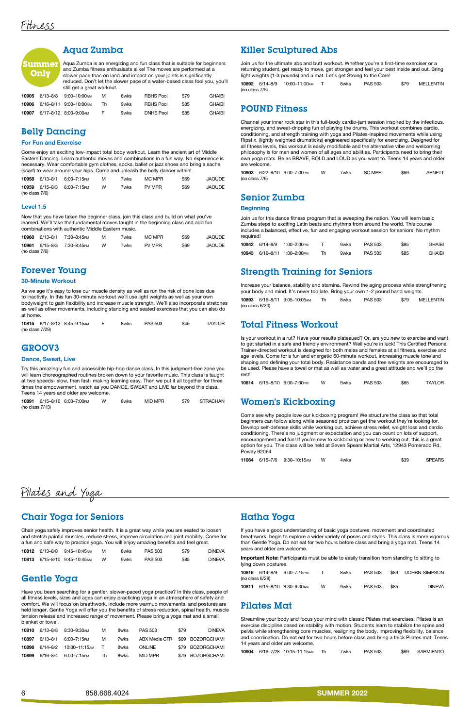### Aqua Zumba

Aqua Zumba is an energizing and fun class that is suitable for beginners and Zumba fitness enthusiasts alike! The moves are performed at a slower pace than on land and impact on your joints is significantly [reduced. Don't let the slower pace of a water-based class fool you, you'll](https://poway.augusoft.net/index.cfm?method=ClassInfo.ClassInformation&int_class_id=10905&int_category_id=0&int_sub_category_id=0&int_catalog_id=0)  still get a great workout.

| 10905 | 6/13-8/8 | 9:00–10:00ам            | м  | 8wks | RBHS Pool        | \$79 | <b>GHAIBI</b> |
|-------|----------|-------------------------|----|------|------------------|------|---------------|
| 10906 |          | 6/16-8/11 9:00-10:00 AM | Th | 9wks | <b>RBHS Pool</b> | \$85 | <b>GHAIBI</b> |
| 10907 |          | 6/17-8/12 8:00-9:00 AM  |    | 9wks | <b>DNHS Pool</b> | \$85 | <b>GHAIBI</b> |

### Belly Dancing

#### For Fun and Exercise

Come enjoy an exciting low-impact total body workout. Learn the ancient art of Middle [Eastern Dancing. Learn authentic moves and combinations in a fun way. No experience is](https://poway.augusoft.net/index.cfm?method=ClassInfo.ClassInformation&int_class_id=10958&int_category_id=0&int_sub_category_id=0&int_catalog_id=0)  necessary. Wear comfortable gym clothes, socks, ballet or jazz shoes and bring a sache (scarf) to wear around your hips. Come and unleash the belly dancer within!

|                | 10958 6/13-8/1 6:00-7:15PM | M | 7wks | MC MPR | \$69 | <b>JAOUDE</b> |
|----------------|----------------------------|---|------|--------|------|---------------|
|                | 10959 6/15-8/3 6:00-7:15PM | w | 7wks | PV MPR | \$69 | <b>JAOUDE</b> |
| (no class 7/6) |                            |   |      |        |      |               |

#### Level 1.5

Now that you have taken the beginner class, join this class and build on what you've [learned. We'll take the fundamental moves taught in the beginning class and add fun](https://poway.augusoft.net/index.cfm?method=ClassInfo.ClassInformation&int_class_id=10960&int_category_id=0&int_sub_category_id=0&int_catalog_id=0)  combinations with authentic Middle Eastern music.

| 10960          | 6/13–8/1 7:30–8:45рм       | м | 7wks | MC MPR | \$69 | JAOUDE |
|----------------|----------------------------|---|------|--------|------|--------|
|                | 10961 6/15-8/3 7:30-8:45PM | W | 7wks | PV MPR | \$69 | JAOUDE |
| (no class 7/6) |                            |   |      |        |      |        |

### Forever Young

#### 30-Minute Workout

As we age it's easy to lose our muscle density as well as run the risk of bone loss due to inactivity. In this fun 30-minute workout we'll use light weights as well as your own [bodyweight to gain flexibility and increase muscle strength. We'll also incorporate stretches](https://poway.augusoft.net/index.cfm?method=ClassInfo.ClassInformation&int_class_id=10815&int_category_id=0&int_sub_category_id=0&int_catalog_id=0)  as well as other movements, including standing and seated exercises that you can also do at home.

|                    | 10815 6/17-8/12 8:45-9:15AM | 8wks | PAS 503 | \$45 | <b>TAYLOR</b> |
|--------------------|-----------------------------|------|---------|------|---------------|
| (no class $7/29$ ) |                             |      |         |      |               |

### GROOV3

#### Dance, Sweat, Live

[Try this amazingly fun and accessible hip-hop dance class. In this judgment-free zone you](https://poway.augusoft.net/index.cfm?method=ClassInfo.ClassInformation&int_class_id=10891&int_category_id=0&int_sub_category_id=0&int_catalog_id=0)  will learn choreographed routines broken down to your favorite music. This class is taught at two speeds- slow, then fast- making learning easy. Then we put it all together for three times the empowerment, watch as you DANCE, SWEAT and LIVE far beyond this class. Teens 14 years and older are welcome.

|                    | 10891 6/15-8/10 6:00-7:00PM | 8wks | MID MPR | \$79 | STRACHAN |
|--------------------|-----------------------------|------|---------|------|----------|
| (no class $7/13$ ) |                             |      |         |      |          |

### Killer Sculptured Abs

Join us for the ultimate abs and butt workout. Whether you're a first-time exerciser or a [returning student, get ready to move, get stronger and feel your best inside and out. Bring](https://poway.augusoft.net/index.cfm?method=ClassInfo.ClassInformation&int_class_id=10892&int_category_id=0&int_sub_category_id=0&int_catalog_id=0)  light weights (1-3 pounds) and a mat. Let's get Strong to the Core!

|                   | 10892 6/14-8/9 10:00-11:00 AM | 8wks | <b>PAS 503</b> | \$79 | MELLENTIN |
|-------------------|-------------------------------|------|----------------|------|-----------|
| (no class $7/5$ ) |                               |      |                |      |           |

### POUND Fitness

Channel your inner rock star in this full-body cardio-jam session inspired by the infectious, energizing, and sweat-dripping fun of playing the drums. This workout combines cardio, conditioning, and strength training with yoga and Pilates-inspired movements while using Ripstix, (lightly weighted drumsticks) engineered specifically for exercising. Designed for all fitness levels, this workout is easily modifiable and the alternative vibe and welcoming philosophy is for men and women of all ages and abilities. Participants need to bring their [own yoga mats. Be as BRAVE, BOLD and LOUD as you want to. Teens 14 years and older](https://poway.augusoft.net/index.cfm?method=ClassInfo.ClassInformation&int_class_id=10903&int_category_id=0&int_sub_category_id=0&int_catalog_id=0)  are welcome.

10903 6/22–8/10 6:00–7:00pm W 7wks SC MPR \$69 ARNETT (no class 7/6)

### Senior Zumba

#### **Beginning**

Join us for this dance fitness program that is sweeping the nation. You will learn basic Zumba steps to exciting Latin beats and rhythms from around the world. This course [includes a balanced, effective, fun and engaging workout session for seniors. No rhythm](https://poway.augusoft.net/index.cfm?method=ClassInfo.ClassInformation&int_class_id=10942&int_category_id=0&int_sub_category_id=0&int_catalog_id=0)  required!

ummer **Only**

|  | 10942 6/14-8/9 1:00-2:00PM   | 9wks | <b>PAS 503</b> | \$85 | <b>GHAIBI</b> |
|--|------------------------------|------|----------------|------|---------------|
|  | 10943 6/16-8/11 1:00-2:00 PM | 9wks | <b>PAS 503</b> | \$85 | <b>GHAIBI</b> |

### [Strength Training for Seniors](https://poway.augusoft.net/index.cfm?method=ClassInfo.ClassInformation&int_class_id=10893&int_category_id=0&int_sub_category_id=0&int_catalog_id=0)

Increase your balance, stability and stamina. Rewind the aging process while strengthening your body and mind. It's never too late. Bring your own 1-2 pound hand weights.

10893 6/16–8/11 9:05–10:05am Th 8wks PAS 503 \$79 MELLENTIN (no class 6/30)

### Total Fitness Workout

[Is your workout in a rut? Have your results plateaued? Or, are you new to exercise and want](https://poway.augusoft.net/index.cfm?method=ClassInfo.ClassInformation&int_class_id=10814&int_category_id=0&int_sub_category_id=0&int_catalog_id=0)  to get started in a safe and friendly environment? Well you're in luck! This Certified Personal Trainer-directed workout is designed for both males and females at all fitness, exercise and age levels. Come for a fun and energetic 60-minute workout, increasing muscle tone and shaping and defining your total body. Resistance bands and free weights are encouraged to be used. Please have a towel or mat as well as water and a great attitude and we'll do the rest!

|  |  | 10814 6/15-8/10 6:00-7:00PM |  | 9wks | PAS 503 | \$85 | <b>TAYLOR</b> |
|--|--|-----------------------------|--|------|---------|------|---------------|
|--|--|-----------------------------|--|------|---------|------|---------------|

### Women's Kickboxing

Come see why people love our kickboxing program! We structure the class so that total beginners can follow along while seasoned pros can get the workout they're looking for. [Develop self-defense skills while working out, achieve stress relief, weight loss and cardio](https://poway.augusoft.net/index.cfm?method=ClassInfo.ClassInformation&int_class_id=11064&int_category_id=0&int_sub_category_id=0&int_catalog_id=0)  conditioning. There's no judgment or expectation and you can count on lots of support, encouragement and fun! If you're new to kickboxing or new to working out, this is a great option for you. This class will be held at Seven Spears Martial Arts, 12943 Pomerado Rd, Poway 92064

|  | 11064 6/15-7/6 9:30-10:15AM | 4wks | \$39 | <b>SPEARS</b> |
|--|-----------------------------|------|------|---------------|
|  |                             |      |      |               |

Pilates and Yoga

### Chair Yoga for Seniors

Chair yoga safely improves senior health. It is a great way while you are seated to loosen

[and stretch painful muscles, reduce stress, improve circulation and joint mobility. Come for](https://poway.augusoft.net/index.cfm?method=ClassInfo.ClassInformation&int_class_id=10812&int_category_id=0&int_sub_category_id=0&int_catalog_id=0)  a fun and safe way to practice yoga. You will enjoy amazing benefits and feel great.

|  | <b>10812</b> 6/13-8/8 9:45-10:45AM |   | 8wks. | <b>PAS 503</b> | \$79 | DINEVA        |
|--|------------------------------------|---|-------|----------------|------|---------------|
|  | 10813 6/15-8/10 9:45-10:45AM       | w | 9wks. | PAS 503        | \$85 | <b>DINFVA</b> |

### Gentle Yoga

Have you been searching for a gentler, slower-paced yoga practice? In this class, people of all fitness levels, sizes and ages can enjoy practicing yoga in an atmosphere of safety and comfort. We will focus on breathwork, include more warmup movements, and postures are [held longer. Gentle Yoga will offer you the benefits of stress reduction, spinal health, muscle](https://poway.augusoft.net/index.cfm?method=ClassInfo.ClassInformation&int_class_id=10810&int_category_id=0&int_sub_category_id=0&int_catalog_id=0)  tension release and increased range of movement. Please bring a yoga mat and a small blanket or towel.

| 10810 |          | 6/13–8/8 8:30–9:30 м | м  | <b>8wks</b> | PAS 503       | \$79 | <b>DINFVA</b>    |
|-------|----------|----------------------|----|-------------|---------------|------|------------------|
| 10897 | 6/13-8/1 | 6:00–7:15 Рм         | м  | 7wks        | ABX Media CTR |      | \$69 BOZORGCHAMI |
| 10898 | 6/14–8/2 | 10:00–11:15 м        |    | <b>8wks</b> | ONI INF       |      | \$79 BOZORGCHAMI |
| 10899 | 6/16-8/4 | 6:00–7:15 Рм         | Th | <b>8wks</b> | MID MPR       |      | \$79 BOZORGCHAMI |

## Hatha Yoga

If you have a good understanding of basic yoga postures, movement and coordinated

[breathwork, begin to explore a wider variety of poses and styles. This class is more vigorous](https://poway.augusoft.net/index.cfm?method=ClassInfo.ClassInformation&int_class_id=10816&int_category_id=0&int_sub_category_id=0&int_catalog_id=0)  than Gentle Yoga. Do not eat for two hours before class and bring a yoga mat. Teens 14 years and older are welcome.

Important Note: Participants must be able to easily transition from standing to sitting to lying down postures.

| (no class 6/28) | 10816 6/14-8/9 6:00-7:15PM   |   | 8wks | PAS 503 |      | \$89 DOHRN-SIMPSON |
|-----------------|------------------------------|---|------|---------|------|--------------------|
|                 | 10811 6/15-8/10 8:30-9:30 AM | w | 9wks | PAS 503 | \$85 | DINEVA             |

### Pilates Mat

Streamline your body and focus your mind with classic Pilates mat exercises. Pilates is an exercise discipline based on stability with motion. Students learn to stabilize the spine and pelvis while strengthening core muscles, realigning the body, improving flexibility, balance [and coordination. Do not eat for two hours before class and bring a thick Pilates mat. Teens](https://poway.augusoft.net/index.cfm?method=ClassInfo.ClassInformation&int_class_id=10904&int_category_id=0&int_sub_category_id=0&int_catalog_id=0)  14 years and older are welcome.

|  |  | <b>10904</b> 6/16–7/28 10:15–11:15 м |  | 7wks | PAS 503 |  | \$69 SARMIENTO |
|--|--|--------------------------------------|--|------|---------|--|----------------|
|--|--|--------------------------------------|--|------|---------|--|----------------|

6 858.668.4024 **SUMMER 2022**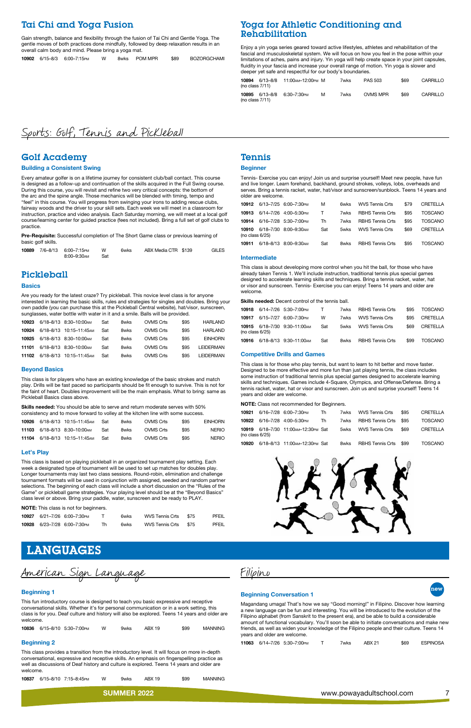### Tai Chi and Yoga Fusion

Gain strength, balance and flexibility through the fusion of Tai Chi and Gentle Yoga. The [gentle moves of both practices done mindfully, followed by deep relaxation results in an](https://poway.augusoft.net/index.cfm?method=ClassInfo.ClassInformation&int_class_id=10902&int_category_id=0&int_sub_category_id=0&int_catalog_id=0)  overall calm body and mind. Please bring a yoga mat.

|  |  | 10902 6/15-8/3 6:00-7:15PM W |  |  | 8wks POM MPR \$89 |  | BOZORGCHAMI |
|--|--|------------------------------|--|--|-------------------|--|-------------|
|--|--|------------------------------|--|--|-------------------|--|-------------|

### [Yoga for Athletic Conditioning and](https://poway.augusoft.net/index.cfm?method=ClassInfo.ClassInformation&int_class_id=10894&int_category_id=0&int_sub_category_id=0&int_catalog_id=0)  Rehabilitation

Enjoy a yin yoga series geared toward active lifestyles, athletes and rehabilitation of the fascial and musculoskeletal system. We will focus on how you feel in the pose within your limitations of aches, pains and injury. Yin yoga will help create space in your joint capsules, fluidity in your fascia and increase your overall range of motion. Yin yoga is slower and deeper yet safe and respectful for our body's boundaries.

| 10894<br>(no class $7/11$ ) | 6/13–8/8 | 11:00 мм-12:00 рм М |   | 7wks | <b>PAS 503</b> | \$69 | CARRILLO |
|-----------------------------|----------|---------------------|---|------|----------------|------|----------|
| 10895<br>(no class $7/11$ ) | 6/13–8/8 | 6:30–7:30 Рм        | м | 7wks | OVMS MPR       | \$69 | CARRILLO |

## Sports: Golf, Tennis and Pickleball

### Golf Academy

#### Building a Consistent Swing

Every amateur golfer is on a lifetime journey for consistent club/ball contact. This course is designed as a follow-up and continuation of the skills acquired in the Full Swing course. During this course, you will revisit and refine two very critical concepts: the bottom of the arc and the spine angle. Those mechanics will be blended with timing, tempo and "feel" in this course. You will progress from swinging your irons to adding rescue clubs, fairway woods and the driver to your skill sets. Each week we will meet in a classroom for instruction, practice and video analysis. Each Saturday morning, we will meet at a local golf [course/learning center for guided practice \(fees not included\). Bring a full set of golf clubs to](https://poway.augusoft.net/index.cfm?method=ClassInfo.ClassInformation&int_class_id=10889&int_category_id=0&int_sub_category_id=0&int_catalog_id=0)  practice.

Pre-Requisite: Successful completion of The Short Game class or previous learning of basic golf skills.

|  | 10889 7/6-8/13 6:00-7:15PM | W   | 6wks | ABX Media CTR \$139 | <b>GILES</b> |
|--|----------------------------|-----|------|---------------------|--------------|
|  | 8:00–9:30am                | Sat |      |                     |              |

### Pickleball

#### **Basics**

Are you ready for the latest craze? Try pickleball. This novice level class is for anyone [interested in learning the basic skills, rules and strategies for singles and doubles. Bring your](https://poway.augusoft.net/index.cfm?method=ClassInfo.ClassInformation&int_class_id=10923&int_category_id=0&int_sub_category_id=0&int_catalog_id=0)  own paddle (you can purchase this at the Pickleball Central website), hat/visor, sunscreen, sunglasses, water bottle with water in it and a smile. Balls will be provided.

| 10923 |               | 6/18-8/13 8:30-10:00 AM  | Sat | 8wks | OVMS Crts | \$95 | HARLAND          |
|-------|---------------|--------------------------|-----|------|-----------|------|------------------|
| 10924 |               | 6/18-8/13 10:15-11:45 AM | Sat | 8wks | OVMS Crts | \$95 | HARI AND         |
| 10925 |               | 6/18-8/13 8:30-10:00 AM  | Sat | 8wks | OVMS Crts | \$95 | <b>EINHORN</b>   |
| 11101 |               | 6/18-8/13 8:30-10:00 AM  | Sat | 8wks | OVMS Crts | \$95 | <b>LEIDERMAN</b> |
| 11102 | $6/18 - 8/13$ | 10:15-11:45 AM           | Sat | 8wks | OVMS Crts | \$95 | <b>LEIDERMAN</b> |
|       |               |                          |     |      |           |      |                  |

#### Beyond Basics

This class is for players who have an existing knowledge of the basic strokes and match play. Drills will be fast paced so participants should be fit enough to survive. This is not for [the faint of heart. Doubles improvement will be the main emphasis. What to bring: same as](https://poway.augusoft.net/index.cfm?method=ClassInfo.ClassInformation&int_class_id=10926&int_category_id=0&int_sub_category_id=0&int_catalog_id=0)  Pickleball Basics class above.

Skills needed: You should be able to serve and return moderate serves with 50% consistency and to move forward to volley at the kitchen line with some success.

| 10926 | 6/18–8/13 10:15–11:45 м       | Sat | <b>8wks</b> | OVMS Crts | \$95 | <b>EINHORN</b> |
|-------|-------------------------------|-----|-------------|-----------|------|----------------|
|       | 11103 6/18-8/13 8:30-10:00 AM | Sat | <b>8wks</b> | OVMS Crts | \$95 | <b>NERIO</b>   |
|       | 11104 6/18-8/13 10:15-11:45AM | Sat | <b>8wks</b> | OVMS Crts | \$95 | <b>NERIO</b>   |

#### Let's Play

This class is based on playing pickleball in an organized tournament play setting. Each week a designated type of tournament will be used to set up matches for doubles play. Longer tournaments may last two class sessions. Round-robin, elimination and challenge [tournament formats will be used in conjunction with assigned, seeded and random partner](https://poway.augusoft.net/index.cfm?method=ClassInfo.ClassInformation&int_class_id=10927&int_category_id=0&int_sub_category_id=0&int_catalog_id=0)  selections. The beginning of each class will include a short discussion on the "Rules of the Game" or pickleball game strategies. Your playing level should be at the "Beyond Basics" class level or above. Bring your paddle, water, sunscreen and be ready to PLAY.

NOTE: This class is not for beginners.

|  | 10927 6/21-7/26 6:00-7:30PM | 6wks | WVS Tennis Crts \$75 | PFEIL |
|--|-----------------------------|------|----------------------|-------|
|  | 10928 6/23-7/28 6:00-7:30PM | 6wks | WVS Tennis Crts \$75 | PFEIL |

### Tennis

#### **Beginner**

Tennis- Exercise you can enjoy! Join us and surprise yourself! Meet new people, have fun and live longer. Learn forehand, backhand, ground strokes, volleys, lobs, overheads and [serves. Bring a tennis racket, water, hat/visor and sunscreen/sunblock. Teens 14 years and](https://poway.augusoft.net/index.cfm?method=ClassInfo.ClassInformation&int_class_id=10912&int_category_id=0&int_sub_category_id=0&int_catalog_id=0)  older are welcome.

| 10912                       | 6/13–7/25 6:00–7:30 рм | м   | 6wks | WVS Tennis Crts         | \$79 | CRETELLA       |
|-----------------------------|------------------------|-----|------|-------------------------|------|----------------|
| 10913                       | 6/14-7/26 4:00-5:30PM  | T   | 7wks | <b>RBHS</b> Tennis Crts | \$95 | <b>TOSCANO</b> |
| 10914                       | 6/16–7/28 5:30–7:00 PM | Th  | 7wks | <b>RBHS</b> Tennis Crts | \$95 | <b>TOSCANO</b> |
| 10910<br>(no class $6/25$ ) | 6/18-7/30 8:00-9:30 AM | Sat | 5wks | <b>WVS Tennis Crts</b>  | \$69 | CRETELLA       |
| 10911                       | 6/18-8/13 8:00-9:30 AM | Sat | 8wks | RBHS Tennis Crts        | \$95 | TOSCANO        |

#### Intermediate

This class is about developing more control when you hit the ball, for those who have already taken Tennis 1. We'll include instruction, traditional tennis plus special games [designed to accelerate learning skills and techniques. Bring a tennis racket, water, hat](https://poway.augusoft.net/index.cfm?method=ClassInfo.ClassInformation&int_class_id=10918&int_category_id=0&int_sub_category_id=0&int_catalog_id=0)  or visor and sunscreen. Tennis- Exercise you can enjoy! Teens 14 years and older are welcome.

Skills needed: Decent control of the tennis ball.

|                    | 10918 6/14-7/26 5:30-7:00PM   | $\mathsf{T}$ | 7wks | <b>RBHS Tennis Crts</b> | \$95 | TOSCANO        |
|--------------------|-------------------------------|--------------|------|-------------------------|------|----------------|
| 10917              | 6/15–7/27 6:00–7:30 PM        | W            | 7wks | WVS Tennis Crts         | \$95 | CRETELLA       |
| (no class $6/25$ ) | 10915 6/18-7/30 9:30-11:00 AM | Sat          | 5wks | WVS Tennis Crts         | \$69 | CRETELLA       |
| 10916              | 6/18–8/13 9:30–11:00 м        | Sat          | 8wks | <b>RBHS Tennis Crts</b> | \$99 | <b>TOSCANO</b> |

#### Competitive Drills and Games

This class is for those who play tennis, but want to learn to hit better and move faster. Designed to be more effective and more fun than just playing tennis, the class includes some instruction of traditional tennis plus special games designed to accelerate learning [skills and techniques. Games include 4-Square, Olympics, and Offense/Defense. Bring a](https://poway.augusoft.net/index.cfm?method=ClassInfo.ClassInformation&int_class_id=10921&int_category_id=0&int_sub_category_id=0&int_catalog_id=0)  tennis racket, water, hat or visor and sunscreen. Join us and surprise yourself! Teens 14 years and older are welcome.

NOTE: Class not recommended for Beginners.

|                 | 10921 6/16-7/28 6:00-7:30PM            | Th Th |      | 7wks WVS Tennis Crts       | \$95 | CRETELLA       |
|-----------------|----------------------------------------|-------|------|----------------------------|------|----------------|
|                 | <b>10922</b> 6/16-7/28 4:00-5:30 PM Th |       |      | 7wks RBHS Tennis Crts \$95 |      | <b>TOSCANO</b> |
| (no class 6/25) | 10919 6/18-7/30 11:00 AM-12:30 PM Sat  |       | 5wks | WVS Tennis Crts            | \$69 | CRETELLA       |
|                 | 10920 6/18-8/13 11:00 AM-12:30 PM Sat  |       | 8wks | RBHS Tennis Crts \$99      |      | TOSCANO        |



## LANGUAGES

American Sign Language

#### Beginning 1

This fun introductory course is designed to teach you basic expressive and receptive conversational skills. Whether it's for personal communication or in a work setting, this [class is for you. Deaf culture and history will also be explored. Teens 14 years and older are](https://poway.augusoft.net/index.cfm?method=ClassInfo.ClassInformation&int_class_id=10836&int_category_id=0&int_sub_category_id=0&int_catalog_id=0)  welcome.

10836 6/15–8/10 5:30–7:00pm W 9wks ABX 19 \$99 MANNING

#### Beginning 2

This class provides a transition from the introductory level. It will focus on more in-depth [conversational, expressive and receptive skills. An emphasis on fingerspelling practice as](https://poway.augusoft.net/index.cfm?method=ClassInfo.ClassInformation&int_class_id=10837&int_category_id=0&int_sub_category_id=0&int_catalog_id=0)  well as discussions of Deaf history and culture is explored. Teens 14 years and older are welcome.

10837 6/15–8/10 7:15–8:45pm W 9wks ABX 19 \$99 MANNING



#### Beginning Conversation 1



Magandang umaga! That's how we say "Good morning!" in Filipino. Discover how learning a new language can be fun and interesting. You will be introduced to the evolution of the Filipino alphabet (from Sanskrit to the present era), and be able to build a considerable [amount of functional vocabulary. You'll soon be able to initiate conversations and make new](https://poway.augusoft.net/index.cfm?method=ClassInfo.ClassInformation&int_class_id=11063&int_category_id=0&int_sub_category_id=0&int_catalog_id=0)  friends, as well as widen your knowledge of the Filipino people and their culture. Teens 14 years and older are welcome.

|  | 11063 6/14-7/26 5:30-7:00PM | ™ks | ABX 21 | \$69 | <b>ESPINOSA</b> |
|--|-----------------------------|-----|--------|------|-----------------|
|  |                             |     |        |      |                 |

#### SUMMER 2022 **WWW.powayadultschool.com** 7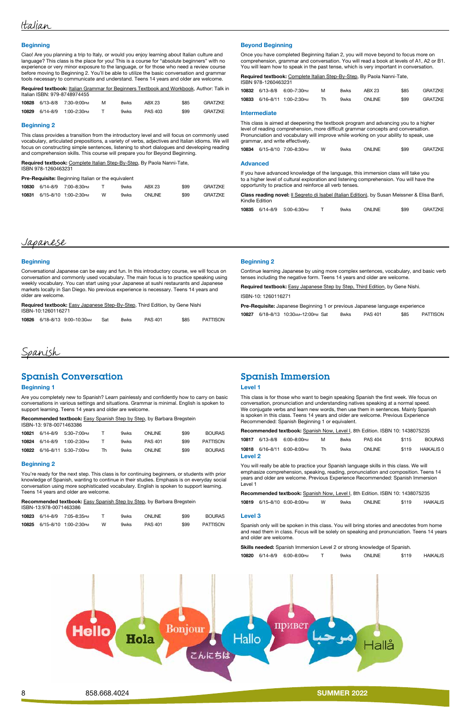

#### **Beginning**

Ciao! Are you planning a trip to Italy, or would you enjoy learning about Italian culture and language? This class is the place for you! This is a course for "absolute beginners" with no experience or very minor exposure to the language, or for those who need a review course [before moving to Beginning 2. You'll be able to utilize the basic conversation and grammar](https://poway.augusoft.net/index.cfm?method=ClassInfo.ClassInformation&int_class_id=10828&int_category_id=0&int_sub_category_id=0&int_catalog_id=0)  tools necessary to communicate and understand. Teens 14 years and older are welcome.

|  |                              |   |      |        |      | <b>Required textbook:</b> Italian Grammar for Beginners Textbook and Workbook, Author: Talk in |
|--|------------------------------|---|------|--------|------|------------------------------------------------------------------------------------------------|
|  | Italian ISBN: 979-8748974455 |   |      |        |      |                                                                                                |
|  | 10828 6/13-8/8 7:30-9:00PM   | M | 8wks | ABX 23 | \$85 | <b>GRATZKE</b>                                                                                 |

Required textbook: Complete Italian Step-By-Step, By Paola Nanni-Tate, ISBN 978-1260463231

Pre-Requisite: Beginning Italian or the equivalent

|  | $100$ 2010 $000$ $100$ $000$ $000$ $00$ |      |         | ັບບ  | <b>UIVILLI</b> |
|--|-----------------------------------------|------|---------|------|----------------|
|  | 10829 6/14–8/9 1:00–2:30 PM T           | 9wks | PAS 403 | \$99 | GRATZKE        |

#### Beginning 2

Required textbook: Complete Italian Step-By-Step, By Paola Nanni-Tate, ISBN 978-1260463231

This class provides a transition from the introductory level and will focus on commonly used vocabulary, articulated prepositions, a variety of verbs, adjectives and Italian idioms. We will [focus on constructing simple sentences, listening to short dialogues and developing reading](https://poway.augusoft.net/index.cfm?method=ClassInfo.ClassInformation&int_class_id=10830&int_category_id=0&int_sub_category_id=0&int_catalog_id=0)  and comprehension skills. This course will prepare you for Beyond Beginning.

> Class reading novel: *II Segreto di Isabel (Italian Edition)*, by Susan Meissner & Elisa Banfi, Kindle Edition

|  | 10830 6/14-8/9 7:00-8:30 PM | $\mathbf{I}$ | 9wks | ABX 23        | \$99 | <b>GRATZKE</b> |
|--|-----------------------------|--------------|------|---------------|------|----------------|
|  | 10831 6/15-8/10 1:00-2:30PM | W            | 9wks | <b>ONLINE</b> | \$99 | GRATZKE        |

#### Beyond Beginning

Once you have completed Beginning Italian 2, you will move beyond to focus more on [comprehension, grammar and conversation. You will read a book at levels of A1, A2 or B1.](https://poway.augusoft.net/index.cfm?method=ClassInfo.ClassInformation&int_class_id=10832&int_category_id=0&int_sub_category_id=0&int_catalog_id=0)  You will learn how to speak in the past tense, which is very important in conversation.

Required textbook: Easy Japanese Step-By-Step, Third Edition, by Gene Nishi ISBN-10:1260116271

|  | 10832 6/13-8/8 6:00-7:30PM   | м   | 8wks | ABX 23 | \$85 | GRATZKE |
|--|------------------------------|-----|------|--------|------|---------|
|  | 10833 6/16-8/11 1:00-2:30 PM | Th. | 9wks | ONLINE | \$99 | GRATZKE |

#### Intermediate

Recommended textbook: Easy Spanish Step by Step, by Barbara Bregstein ISBN-13: 978-0071463386

[This class is aimed at deepening the textbook program and advancing you to a higher](https://poway.augusoft.net/index.cfm?method=ClassInfo.ClassInformation&int_class_id=10834&int_category_id=0&int_sub_category_id=0&int_catalog_id=0)  level of reading comprehension, more difficult grammar concepts and conversation. Pronunciation and vocabulary will improve while working on your ability to speak, use grammar, and write effectively.

|  |  | 10834 6/15-8/10 7:00-8:30PM |  | 9wks | <b>ONLINE</b> | \$99 | GRATZKE |
|--|--|-----------------------------|--|------|---------------|------|---------|
|--|--|-----------------------------|--|------|---------------|------|---------|

#### Advanced

#### Recommended textbook: Easy Spanish Step by Step, by Barbara Bregstein ISBN-13:978-0071463386

If you have advanced knowledge of the language, this immersion class will take you [to a higher level of cultural exploration and listening comprehension. You will have the](https://poway.augusoft.net/index.cfm?method=ClassInfo.ClassInformation&int_class_id=10835&int_category_id=0&int_sub_category_id=0&int_catalog_id=0)  opportunity to practice and reinforce all verb tenses.

|  |  | 10835 6/14-8/9 5:00-6:30PM |  | 9wks | <b>ONLINE</b> | \$99 | GRATZKE |
|--|--|----------------------------|--|------|---------------|------|---------|
|--|--|----------------------------|--|------|---------------|------|---------|

### Japanese

#### **Beginning**

Conversational Japanese can be easy and fun. In this introductory course, we will focus on [conversation and commonly used vocabulary. The main focus is to practice speaking using](https://poway.augusoft.net/index.cfm?method=ClassInfo.ClassInformation&int_class_id=10826&int_category_id=0&int_sub_category_id=0&int_catalog_id=0)  weekly vocabulary. You can start using your Japanese at sushi restaurants and Japanese markets locally in San Diego. No previous experience is necessary. Teens 14 years and older are welcome.

|  |  | <b>10826</b> 6/18-8/13 9:00-10:30 AM Sat |  | 8wks | <b>PAS 401</b> | \$85 | PATTISON |
|--|--|------------------------------------------|--|------|----------------|------|----------|
|--|--|------------------------------------------|--|------|----------------|------|----------|

#### Beginning 2

[Continue learning Japanese by using more complex sentences, vocabulary, and basic verb](https://poway.augusoft.net/index.cfm?method=ClassInfo.ClassInformation&int_class_id=10827&int_category_id=0&int_sub_category_id=0&int_catalog_id=0)  tenses including the negative form. Teens 14 years and older are welcome.

Required textbook: Easy Japanese Step by Step, Third Edition, by Gene Nishi.

ISBN-10: 1260116271

Pre-Requisite: Japanese Beginning 1 or previous Japanese language experience 10827 6/18–8/13 10:30am–12:00pm Sat 8wks PAS 401 \$85 PATTISON

## Spanish

### Spanish Conversation

#### Beginning 1

[Are you completely new to Spanish? Learn painlessly and confidently how to carry on basic](https://poway.augusoft.net/index.cfm?method=ClassInfo.ClassInformation&int_class_id=10821&int_category_id=0&int_sub_category_id=0&int_catalog_id=0)  conversations in various settings and situations. Grammar is minimal. English is spoken to support learning. Teens 14 years and older are welcome.

| 10821 | 6/14–8/9 | 5:30–7:00 <sub>РМ</sub>      |    | 9wks | ONI INF        | \$99 | <b>BOURAS</b> |
|-------|----------|------------------------------|----|------|----------------|------|---------------|
| 10824 | 6/14–8/9 | 1:00–2:30 Рм                 |    | 9wks | <b>PAS 401</b> | \$99 | PATTISON      |
|       |          | 10822 6/16-8/11 5:30-7:00 PM | Th | 9wks | ONI INF        | \$99 | <b>BOURAS</b> |

#### Beginning 2

You're ready for the next step. This class is for continuing beginners, or students with prior [knowledge of Spanish, wanting to continue in their studies. Emphasis is on everyday social](https://poway.augusoft.net/index.cfm?method=ClassInfo.ClassInformation&int_class_id=10823&int_category_id=0&int_sub_category_id=0&int_catalog_id=0)  conversation using more sophisticated vocabulary. English is spoken to support learning. Teens 14 years and older are welcome.

|  | 10823 6/14-8/9 7:05-8:35PM  |   | 9wks | <b>ONLINE</b>  | \$99 | <b>BOURAS</b> |
|--|-----------------------------|---|------|----------------|------|---------------|
|  | 10825 6/15-8/10 1:00-2:30PM | w | 9wks | <b>PAS 401</b> | \$99 | PATTISON      |

### Spanish Immersion

#### Level 1

[This class is for those who want to begin speaking Spanish the first week. We focus on](https://poway.augusoft.net/index.cfm?method=ClassInfo.ClassInformation&int_class_id=10817&int_category_id=0&int_sub_category_id=0&int_catalog_id=0)  conversation, pronunciation and understanding natives speaking at a normal speed. We conjugate verbs and learn new words, then use them in sentences. Mainly Spanish is spoken in this class. Teens 14 years and older are welcome. Previous Experience Recommended: Spanish Beginning 1 or equivalent.

|                | <b>Recommended textbook:</b> Spanish Now, Level I, 8th Edition. ISBN 10: 1438075235 |                             |    |      |         |       |               |  |  |  |  |
|----------------|-------------------------------------------------------------------------------------|-----------------------------|----|------|---------|-------|---------------|--|--|--|--|
|                |                                                                                     | 10817 6/13-8/8 6:00-8:00PM  | м  | 8wks | PAS 404 | \$115 | <b>BOURAS</b> |  |  |  |  |
|                |                                                                                     | 10818 6/16-8/11 6:00-8:00PM | Th | 9wks | ONI INF | \$119 | HAIKALIS 0    |  |  |  |  |
| <b>Level 2</b> |                                                                                     |                             |    |      |         |       |               |  |  |  |  |

You will really be able to practice your Spanish language skills in this class. We will [emphasize comprehension, speaking, reading, pronunciation and composition. Teens 14](https://poway.augusoft.net/index.cfm?method=ClassInfo.ClassInformation&int_class_id=10819&int_category_id=0&int_sub_category_id=0&int_catalog_id=0)  years and older are welcome. Previous Experience Recommended: Spanish Immersion Level 1

|  |                             |   |      | <b>Recommended textbook:</b> Spanish Now, Level I, 8th Edition. ISBN 10: 1438075235 |       |          |
|--|-----------------------------|---|------|-------------------------------------------------------------------------------------|-------|----------|
|  | 10819 6/15-8/10 6:00-8:00PM | w | 9wks | <b>ONLINE</b>                                                                       | \$119 | HAIKALIS |

#### Level 3

Spanish only will be spoken in this class. You will bring stories and anecdotes from home [and read them in class. Focus will be solely on speaking and pronunciation. Teens 14 years](https://poway.augusoft.net/index.cfm?method=ClassInfo.ClassInformation&int_class_id=10820&int_category_id=0&int_sub_category_id=0&int_catalog_id=0) 

and older are welcome.

Skills needed: Spanish Immersion Level 2 or strong knowledge of Spanish.

|  |  |  | 10820 6/14-8/9 6:00-8:00PM |  | 9wks | <b>ONLINE</b> | \$119 | <b>HAIKALIS</b> |
|--|--|--|----------------------------|--|------|---------------|-------|-----------------|
|--|--|--|----------------------------|--|------|---------------|-------|-----------------|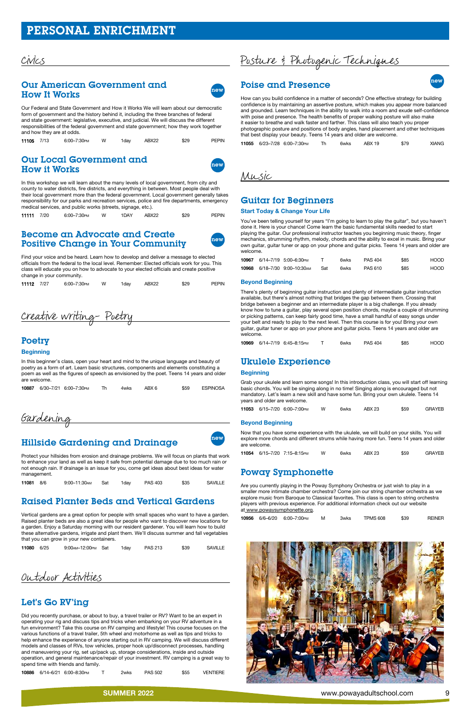### [Our American Government and](https://poway.augusoft.net/index.cfm?method=ClassInfo.ClassInformation&int_class_id=11105&int_category_id=0&int_sub_category_id=0&int_catalog_id=0)  **How It Works**

## Civics

### Our Local Government and **How it Works**



| 11105 7/13 |  | 6:00-7:30PM | W | 1dav | ABX22 | \$29 | <b>PEPIN</b> |
|------------|--|-------------|---|------|-------|------|--------------|
|------------|--|-------------|---|------|-------|------|--------------|

### Become an Advocate and Create [Positive Change in Your Community](https://poway.augusoft.net/index.cfm?method=ClassInfo.ClassInformation&int_class_id=11112&int_category_id=0&int_sub_category_id=0&int_catalog_id=0)



In this workshop we will learn about the many levels of local government, from city and county to water districts, fire districts, and everything in between. Most people deal with [their local government more than the federal government. Local government generally takes](https://poway.augusoft.net/index.cfm?method=ClassInfo.ClassInformation&int_class_id=11111&int_category_id=0&int_sub_category_id=0&int_catalog_id=0)  responsibility for our parks and recreation services, police and fire departments, emergency medical services, and public works (streets, signage, etc.).

| 11111 7/20 | 6:00-7:30PM | w | 1DAY | ABX22 | \$29 | PEPIN |
|------------|-------------|---|------|-------|------|-------|
|            |             |   |      |       |      |       |

Find your voice and be heard. Learn how to develop and deliver a message to elected officials from the federal to the local level. Remember: Elected officials work for you. This class will educate you on how to advocate to your elected officials and create positive change in your community.

|  | 11112 7/27 | 6:00–7:30Pм W 1day ABX22 |  |  |  | \$29 | PEPIN |
|--|------------|--------------------------|--|--|--|------|-------|
|--|------------|--------------------------|--|--|--|------|-------|

Creative Writing- Poetry

### Poetry

#### **Beginning**

In this beginner's class, open your heart and mind to the unique language and beauty of poetry as a form of art. Learn basic structures, components and elements constituting a [poem as well as the figures of speech as envisioned by the poet. Teens 14 years and older](https://poway.augusoft.net/index.cfm?method=ClassInfo.ClassInformation&int_class_id=10887&int_category_id=0&int_sub_category_id=0&int_catalog_id=0)  are welcome.

|  | 10887 6/30-7/21 6:00-7:30PM | 4wks | \$59 | ESPINOSA |
|--|-----------------------------|------|------|----------|
|  |                             |      |      |          |

Gardening

## [Hillside Gardening and Drainage](https://poway.augusoft.net/index.cfm?method=ClassInfo.ClassInformation&int_class_id=11081&int_category_id=0&int_sub_category_id=0&int_catalog_id=0)



| 11081 8/6 | 9:00–11:30 AM Sat 1 day PAS 403 |  | \$35 | SAVILLE |
|-----------|---------------------------------|--|------|---------|
|           |                                 |  |      |         |

## [Raised Planter Beds and Vertical Gardens](https://poway.augusoft.net/index.cfm?method=ClassInfo.ClassInformation&int_class_id=11080&int_category_id=0&int_sub_category_id=0&int_catalog_id=0)

Vertical gardens are a great option for people with small spaces who want to have a garden. Raised planter beds are also a great idea for people who want to discover new locations for a garden. Enjoy a Saturday morning with our resident gardener. You will learn how to build these alternative gardens, irrigate and plant them. We'll discuss summer and fall vegetables that you can grow in your new containers.

| <b>11080</b> 6/25 |  | 9:00 AM - 12:00 PM Sat |  | 1dav | <b>PAS 213</b> | \$39 | <b>SAVILLE</b> |
|-------------------|--|------------------------|--|------|----------------|------|----------------|
|-------------------|--|------------------------|--|------|----------------|------|----------------|

Outdoor Activities

### Let's Go RV'ing

Did you recently purchase, or about to buy, a travel trailer or RV? Want to be an expert in operating your rig and discuss tips and tricks when embarking on your RV adventure in a fun environment? Take this course on RV camping and lifestyle! This course focuses on the various functions of a travel trailer, 5th wheel and motorhome as well as tips and tricks to help enhance the experience of anyone starting out in RV camping. We will discuss different models and classes of RVs, tow vehicles, proper hook up/disconnect processes, handling and maneuvering your rig, set up/pack up, storage considerations, inside and outside [operation, and general maintenance/repair of your investment. RV camping is a great way to](https://poway.augusoft.net/index.cfm?method=ClassInfo.ClassInformation&int_class_id=10886&int_category_id=0&int_sub_category_id=0&int_catalog_id=0)  spend time with friends and family.

Are you currently playing in the Poway Symphony Orchestra or just wish to play in a [smaller more intimate chamber orchestra? Come join our string chamber orchestra as we](https://poway.augusoft.net/index.cfm?method=ClassInfo.ClassInformation&int_class_id=10956&int_category_id=0&int_sub_category_id=0&int_catalog_id=0)  explore music from Baroque to Classical favorites. This class is open to string orchestra players with previous experience. For additional information check out our website at www.powaysymphonette.org.

|  | 10886 6/14-6/21 6:00-8:30PM | 2wks | <b>PAS 502</b> | \$55 | <b>VENTIERE</b> |
|--|-----------------------------|------|----------------|------|-----------------|
|  |                             |      |                |      |                 |



# Posture & Photogenic Techniques

## Poise and Presence new new new

How can you build confidence in a matter of seconds? One effective strategy for building confidence is by maintaining an assertive posture, which makes you appear more balanced [and grounded. Learn techniques in the ability to walk into a room and exude self-confidence](https://poway.augusoft.net/index.cfm?method=ClassInfo.ClassInformation&int_class_id=11055&int_category_id=0&int_sub_category_id=0&int_catalog_id=0)  with poise and presence. The health benefits of proper walking posture will also make it easier to breathe and walk faster and farther. This class will also teach you proper photographic posture and positions of body angles, hand placement and other techniques that best display your beauty. Teens 14 years and older are welcome.

11055 6/23–7/28 6:00–7:30pm Th 6wks ABX 19 \$79 XIANG

Music

### Guitar for Beginners

#### Start Today & Change Your Life

You've been telling yourself for years "I'm going to learn to play the guitar", but you haven't done it. Here is your chance! Come learn the basic fundamental skills needed to start playing the guitar. Our professional instructor teaches you beginning music theory, finger mechanics, strumming rhythm, melody, chords and the ability to excel in music. Bring your [own guitar, guitar tuner or app on your phone and guitar picks. Teens 14 years and older are](https://poway.augusoft.net/index.cfm?method=ClassInfo.ClassInformation&int_class_id=10967&int_category_id=0&int_sub_category_id=0&int_catalog_id=0)  welcome.

|  | 10967 6/14-7/19 5:00-6:30PM  |     | 6wks | <b>PAS 404</b> | \$85 | HOOD. |
|--|------------------------------|-----|------|----------------|------|-------|
|  | 10968 6/18-7/30 9:00-10:30AM | Sat | 6wks | <b>PAS 610</b> | \$85 | HOOD. |

#### Beyond Beginning

There's plenty of beginning guitar instruction and plenty of intermediate guitar instruction available, but there's almost nothing that bridges the gap between them. Crossing that bridge between a beginner and an intermediate player is a big challenge. If you already [know how to tune a guitar, play several open position chords, maybe a couple of strumming](https://poway.augusoft.net/index.cfm?method=ClassInfo.ClassInformation&int_class_id=10969&int_category_id=0&int_sub_category_id=0&int_catalog_id=0)  or picking patterns, can keep fairly good time, have a small handful of easy songs under your belt and ready to play to the next level. Then this course is for you! Bring your own guitar, guitar tuner or app on your phone and guitar picks. Teens 14 years and older are welcome.

10969 6/14–7/19 6:45–8:15pm T 6wks PAS 404 \$85 HOOD

### Ukulele Experience

#### **Beginning**

[Grab your ukulele and learn some songs! In this introduction class, you will start off learning](https://poway.augusoft.net/index.cfm?method=ClassInfo.ClassInformation&int_class_id=11053&int_category_id=0&int_sub_category_id=0&int_catalog_id=0)  basic chords. You will be singing along in no time! Singing along is encouraged but not mandatory. Let's learn a new skill and have some fun. Bring your own ukulele. Teens 14 years and older are welcome.

11053 6/15–7/20 6:00–7:00pm W 6wks ABX 23 \$59 GRAYEB

#### Beyond Beginning

Now that you have some experience with the ukulele, we will build on your skills. You will [explore more chords and different strums while having more fun. Teens 14 years and older](https://poway.augusoft.net/index.cfm?method=ClassInfo.ClassInformation&int_class_id=11054&int_category_id=0&int_sub_category_id=0&int_catalog_id=0)  are welcome.

|  |  | 11054 6/15-7/20 7:15-8:15PM |  | 6wks | ABX 23 | \$59 | GRAYEB |
|--|--|-----------------------------|--|------|--------|------|--------|
|--|--|-----------------------------|--|------|--------|------|--------|

### Poway Symphonette

|  | 10956 6/6-6/20 6:00-7:00 PM | м | 3wks | <b>TPMS 608</b> | \$39 | <b>REINER</b> |
|--|-----------------------------|---|------|-----------------|------|---------------|
|  |                             |   |      |                 |      |               |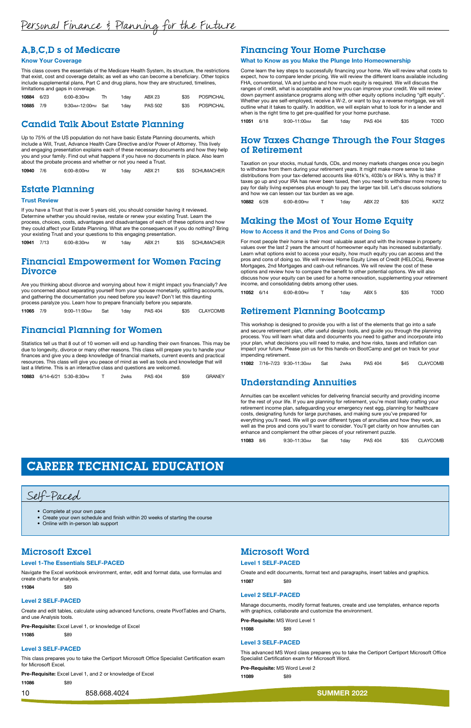### A,B,C,D s of Medicare

#### Know Your Coverage

[This class covers the essentials of the Medicare Health System, its structure, the restrictions](https://poway.augusoft.net/index.cfm?method=ClassInfo.ClassInformation&int_class_id=10884&int_category_id=0&int_sub_category_id=0&int_catalog_id=0)  that exist, cost and coverage details; as well as who can become a beneficiary. Other topics include supplemental plans, Part C and drug plans, how they are structured, timelines, limitations and gaps in coverage.

| 10884 6/23 | 6:00-8:30PM          | 1dav | ABX 23         | \$35 POSPICHAL |
|------------|----------------------|------|----------------|----------------|
| 10885 7/9  | 9:30 AM-12:00 PM Sat | 1dav | <b>PAS 502</b> | \$35 POSPICHAL |

### [Candid Talk About Estate Planning](https://poway.augusoft.net/index.cfm?method=ClassInfo.ClassInformation&int_class_id=10940&int_category_id=0&int_sub_category_id=0&int_catalog_id=0)

### [Financial Empowerment for Women Facing](https://poway.augusoft.net/index.cfm?method=ClassInfo.ClassInformation&int_class_id=11065&int_category_id=0&int_sub_category_id=0&int_catalog_id=0)  **Divorce**

Up to 75% of the US population do not have basic Estate Planning documents, which include a Will, Trust, Advance Health Care Directive and/or Power of Attorney. This lively and engaging presentation explains each of these necessary documents and how they help you and your family. Find out what happens if you have no documents in place. Also learn about the probate process and whether or not you need a Trust.

| \$35 SCHUMACHER<br>10940<br>ABX 21<br>$6:00 - 8:00$ PM<br>1dav |
|----------------------------------------------------------------|
|----------------------------------------------------------------|

### Estate Planning

#### Trust Review

If you have a Trust that is over 5 years old, you should consider having it reviewed. Determine whether you should revise, restate or renew your existing Trust. Learn the process, choices, costs, advantages and disadvantages of each of these options and how [they could affect your Estate Planning. What are the consequences if you do nothing? Bring](https://poway.augusoft.net/index.cfm?method=ClassInfo.ClassInformation&int_class_id=10941&int_category_id=0&int_sub_category_id=0&int_catalog_id=0)  your existing Trust and your questions to this engaging presentation.

10941 7/13 6:00–8:30pm W 1day ABX 21 \$35 SCHUMACHER

Are you thinking about divorce and worrying about how it might impact you financially? Are you concerned about separating yourself from your spouse monetarily, splitting accounts, and gathering the documentation you need before you leave? Don't let this daunting process paralyze you. Learn how to prepare financially before you separate.

11065 7/9 9:00–11:00am Sat 1day PAS 404 \$35 CLAYCOMB

### [Financial Planning for Women](https://poway.augusoft.net/index.cfm?method=ClassInfo.ClassInformation&int_class_id=10883&int_category_id=0&int_sub_category_id=0&int_catalog_id=0)

Statistics tell us that 8 out of 10 women will end up handling their own finances. This may be due to longevity, divorce or many other reasons. This class will prepare you to handle your finances and give you a deep knowledge of financial markets, current events and practical resources. This class will give you peace of mind as well as tools and knowledge that will last a lifetime. This is an interactive class and questions are welcomed.

|  |  | 10883 6/14-6/21 5:30-8:30PM |  | 2wks | <b>PAS 404</b> | \$59 | <b>GRANEY</b> |
|--|--|-----------------------------|--|------|----------------|------|---------------|
|--|--|-----------------------------|--|------|----------------|------|---------------|

### [Financing Your Home Purchase](https://poway.augusoft.net/index.cfm?method=ClassInfo.ClassInformation&int_class_id=11051&int_category_id=0&int_sub_category_id=0&int_catalog_id=0)

#### What to Know as you Make the Plunge Into Homeownership

Come learn the key steps to successfully financing your home. We will review what costs to expect, how to compare lender pricing. We will review the different loans available including FHA, conventional, VA and jumbo and how much equity is required. We will discuss the ranges of credit, what is acceptable and how you can improve your credit. We will review down payment assistance programs along with other equity options including "gift equity". Whether you are self-employed, receive a W-2, or want to buy a reverse mortgage, we will outline what it takes to qualify. In addition, we will explain what to look for in a lender and when is the right time to get pre-qualified for your home purchase.

| 11051 6/18 | 9:00-11:00 AM Sat | 1day | <b>PAS 404</b> | \$35 | <b>TODD</b> |
|------------|-------------------|------|----------------|------|-------------|
|            |                   |      |                |      |             |

### [How Taxes Change Through the Four Stages](https://poway.augusoft.net/index.cfm?method=ClassInfo.ClassInformation&int_class_id=10882&int_category_id=0&int_sub_category_id=0&int_catalog_id=0)  of Retirement

Taxation on your stocks, mutual funds, CDs, and money markets changes once you begin to withdraw from them during your retirement years. It might make more sense to take distributions from your tax-deferred accounts like 401k's, 403b's or IRA's. Why is this? If taxes go up and your IRA has never been taxed, then you need to withdraw more money to pay for daily living expenses plus enough to pay the larger tax bill. Let's discuss solutions and how we can lessen our tax burden as we age.

| 10882<br>6/28 | 6:00–8:00рм |  | Idav | <b>ABX 22</b> | \$35 | <b>KATZ</b> |
|---------------|-------------|--|------|---------------|------|-------------|
|---------------|-------------|--|------|---------------|------|-------------|

### [Making the Most of Your Home Equity](https://poway.augusoft.net/index.cfm?method=ClassInfo.ClassInformation&int_class_id=11052&int_category_id=0&int_sub_category_id=0&int_catalog_id=0)

#### How to Access it and the Pros and Cons of Doing So

For most people their home is their most valuable asset and with the increase in property values over the last 2 years the amount of homeowner equity has increased substantially. Learn what options exist to access your equity, how much equity you can access and the pros and cons of doing so. We will review Home Equity Lines of Credit (HELOCs), Reverse Mortgages, 2nd Mortgages and cash-out refinances. We will review the cost of these options and review how to compare the benefit to other potential options. We will also discuss how your equity can be used for a home renovation, supplementing your retirement income, and consolidating debts among other uses.

| 11052 6/14 |  | 6:00-8:00PM |  | 1dav | ABX <sub>5</sub> | \$35 | <b>TODD</b> |
|------------|--|-------------|--|------|------------------|------|-------------|
|------------|--|-------------|--|------|------------------|------|-------------|

### [Retirement Planning Bootcamp](https://poway.augusoft.net/index.cfm?method=ClassInfo.ClassInformation&int_class_id=11082&int_category_id=0&int_sub_category_id=0&int_catalog_id=0)

This workshop is designed to provide you with a list of the elements that go into a safe and secure retirement plan, offer useful design tools, and guide you through the planning process. You will learn what data and documents you need to gather and incorporate into your plan, what decisions you will need to make, and how risks, taxes and inflation can impact your future. Please join us for this hands-on BootCamp and get on track for your impending retirement.

11082 7/16–7/23 9:30–11:30am Sat 2wks PAS 404 \$45 CLAYCOMB

### [Understanding Annuities](https://poway.augusoft.net/index.cfm?method=ClassInfo.ClassInformation&int_class_id=11083&int_category_id=0&int_sub_category_id=0&int_catalog_id=0)

Annuities can be excellent vehicles for delivering financial security and providing income for the rest of your life. If you are planning for retirement, you're most likely crafting your retirement income plan, safeguarding your emergency nest egg, planning for healthcare costs, designating funds for large purchases, and making sure you've prepared for everything you'll need. We will go over different types of annuities and how they work, as well as the pros and cons you'll want to consider. You'll get clarity on how annuities can enhance and complement the other pieces of your retirement puzzle.

| 11083 8/6 |  | 9:30–11:30 <sub>АМ</sub> | Sat | 1dav | <b>PAS 404</b> |  | \$35 CLAYCOMB |
|-----------|--|--------------------------|-----|------|----------------|--|---------------|
|-----------|--|--------------------------|-----|------|----------------|--|---------------|

## CAREER TECHNICAL EDUCATION

Self-Paced

- Complete at your own pace
- Create your own schedule and finish within 20 weeks of starting the course
- Online with in-person lab support

### Microsoft Excel

#### Level 1-The Essentials SELF-PACED

[Navigate the Excel workbook environment, enter, edit and format data, use formulas and](https://poway.augusoft.net/index.cfm?method=ClassInfo.ClassInformation&int_class_id=11084&int_category_id=0&int_sub_category_id=0&int_catalog_id=0)  create charts for analysis.

11084 \$89

#### Level 2 SELF-PACED

[Create and edit tables, calculate using advanced functions, create PivotTables and Charts,](https://poway.augusoft.net/index.cfm?method=ClassInfo.ClassInformation&int_class_id=11085&int_category_id=0&int_sub_category_id=0&int_catalog_id=0)  and use Analysis tools.

Pre-Requisite: Excel Level 1, or knowledge of Excel

11085 \$89

### Level 3 SELF-PACED

[This class prepares you to take the Certiport Microsoft Office Specialist Certification exam](https://poway.augusoft.net/index.cfm?method=ClassInfo.ClassInformation&int_class_id=11086&int_category_id=0&int_sub_category_id=0&int_catalog_id=0)  for Microsoft Excel.

Pre-Requisite: Excel Level 1, and 2 or knowledge of Excel

11086 \$89

10 858.668.4024 Summer 858.668.4024

## Microsoft Word

### Level 1 SELF-PACED

[Create and edit documents, format text and paragraphs, insert tables and graphics.](https://poway.augusoft.net/index.cfm?method=ClassInfo.ClassInformation&int_class_id=11087&int_category_id=0&int_sub_category_id=0&int_catalog_id=0)  11087 \$89

#### Level 2 SELF-PACED

[Manage documents, modify format features, create and use templates, enhance reports](https://poway.augusoft.net/index.cfm?method=ClassInfo.ClassInformation&int_class_id=11088&int_category_id=0&int_sub_category_id=0&int_catalog_id=0)  with graphics, collaborate and customize the environment.

Pre-Requisite: MS Word Level 1

11088 \$89

### Level 3 SELF-PACED

[This advanced MS Word class prepares you to take the Certiport Certiport Microsoft Office](https://poway.augusoft.net/index.cfm?method=ClassInfo.ClassInformation&int_class_id=11089&int_category_id=0&int_sub_category_id=0&int_catalog_id=0)  Specialist Certification exam for Microsoft Word.

Pre-Requisite: MS Word Level 2

11089 \$89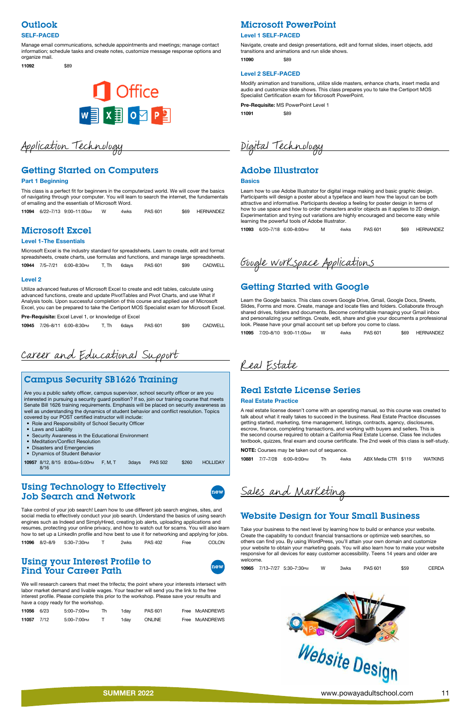

## **Outlook**

### SELF-PACED

Manage email communications, schedule appointments and meetings; manage contact [information; schedule tasks and create notes, customize message response options and](https://poway.augusoft.net/index.cfm?method=ClassInfo.ClassInformation&int_class_id=11092&int_category_id=0&int_sub_category_id=0&int_catalog_id=0)  organize mail.

11092 \$89



### Microsoft PowerPoint

#### Level 1 SELF-PACED

[Navigate, create and design presentations, edit and format slides, insert objects, add](https://poway.augusoft.net/index.cfm?method=ClassInfo.ClassInformation&int_class_id=11090&int_category_id=0&int_sub_category_id=0&int_catalog_id=0)  transitions and animations and run slide shows.

11090 \$89

#### Level 2 SELF-PACED

[Modify animation and transitions, utilize slide masters, enhance charts, insert media and](https://poway.augusoft.net/index.cfm?method=ClassInfo.ClassInformation&int_class_id=11091&int_category_id=0&int_sub_category_id=0&int_catalog_id=0)  audio and customize slide shows. This class prepares you to take the Certiport MOS Specialist Certification exam for Microsoft PowerPoint.

Pre-Requisite: MS PowerPoint Level 1

11091 \$89

# Application Technology

## [Getting Started on Computers](https://poway.augusoft.net/index.cfm?method=ClassInfo.ClassInformation&int_class_id=11094&int_category_id=0&int_sub_category_id=0&int_catalog_id=0)

#### Part 1 Beginning

This class is a perfect fit for beginners in the computerized world. We will cover the basics of navigating through your computer. You will learn to search the internet, the fundamentals of emailing and the essentials of Microsoft Word.

|  | 11094 6/22-7/13 9:00-11:00 M | 4wks | PAS 601 | \$69 HERNANDEZ |
|--|------------------------------|------|---------|----------------|
|  |                              |      |         |                |

### Microsoft Excel

#### Level 1-The Essentials

Microsoft Excel is the industry standard for spreadsheets. Learn to create, edit and format [spreadsheets, create charts, use formulas and functions, and manage large spreadsheets.](https://poway.augusoft.net/index.cfm?method=ClassInfo.ClassInformation&int_class_id=10944&int_category_id=0&int_sub_category_id=0&int_catalog_id=0)  10944 7/5–7/21 6:00–8:30pm T, Th 6days PAS 601 \$99 CADWELL

Take control of your job search! Learn how to use different job search engines, sites, and social media to effectively conduct your job search. Understand the basics of using search engines such as Indeed and SimplyHired, creating job alerts, uploading applications and resumes, protecting your online privacy, and how to watch out for scams. You will also learn how to set up a LinkedIn profile and how best to use it for networking and applying for jot

#### Level 2

Utilize advanced features of Microsoft Excel to create and edit tables, calculate using advanced functions, create and update PivotTables and Pivot Charts, and use What if Analysis tools. Upon successful completion of this course and applied use of Microsoft [Excel, you can be prepared to take the Certiport MOS Specialist exam for Microsoft Excel.](https://poway.augusoft.net/index.cfm?method=ClassInfo.ClassInformation&int_class_id=10945&int_category_id=0&int_sub_category_id=0&int_catalog_id=0)

[Using your Interest Profile to](https://poway.augusoft.net/index.cfm?method=ClassInfo.ClassInformation&int_class_id=11056&int_category_id=0&int_sub_category_id=0&int_catalog_id=0) Find Your Career Path



Pre-Requisite: Excel Level 1, or knowledge of Excel

|  | 10945 7/26-8/11 6:00-8:30 PM T, Th 6days PAS 601 |  |  | \$99 CADWELL |
|--|--------------------------------------------------|--|--|--------------|
|  |                                                  |  |  |              |

Career and Educational Support

### [Campus Security SB1626 Training](https://poway.augusoft.net/index.cfm?method=ClassInfo.ClassInformation&int_class_id=10957&int_category_id=0&int_sub_category_id=0&int_catalog_id=0)

Are you a public safety officer, campus supervisor, school security officer or are you interested in pursuing a security guard position? If so, join our training course that meets Senate Bill 1626 training requirements. Emphasis will be placed on security awareness as well as understanding the dynamics of student behavior and conflict resolution. Topics covered by our POST certified instructor will include:

- Role and Responsibility of School Security Officer
- Laws and Liability
- Security Awareness in the Educational Environment
- Meditation/Conflict Resolution
- Disasters and Emergencies
- Dynamics of Student Behavior

10957 8/12, 8/15 8:00am–5:00pm F, M, T 3days PAS 502 \$260 HOLLIDAY 8/16

### [Using Technology to Effectively](https://poway.augusoft.net/index.cfm?method=ClassInfo.ClassInformation&int_class_id=11096&int_category_id=0&int_sub_category_id=0&int_catalog_id=0) Job Search and Network new



Create the capability to conduct financial transactions or optimize web searches, so others can find you. By using WordPress, you'll attain your own domain and customize your website to obtain your marketing goals. You will also learn how to make your website responsive for all devices for easy customer accessibility. Teens 14 years and older are welcome

| 11096 8/2-8/9 | 5:30–7:30 <sub>РМ</sub> | 2wks | <b>PAS 402</b> | Free | <b>COLON</b> |
|---------------|-------------------------|------|----------------|------|--------------|
|               |                         |      |                |      |              |

We will research careers that meet the trifecta; the point where your interests intersect with labor market demand and livable wages. Your teacher will send you the link to the free interest profile. Please complete this prior to the workshop. Please save your results and have a copy ready for the workshop.

| 11056 6/23 | 5:00-7:00PM | 1dav | <b>PAS 601</b> | Free McANDREWS |
|------------|-------------|------|----------------|----------------|
| 11057 7/12 | 5:00-7:00PM | 1dav | <b>ONLINE</b>  | Free McANDREWS |

Digital Technology

## Adobe Illustrator

#### **Basics**

Learn how to use Adobe Illustrator for digital image making and basic graphic design. Participants will design a poster about a typeface and learn how the layout can be both attractive and informative. Participants develop a feeling for poster design in terms of [how to use space and how to order characters and/or objects as it applies to 2D design.](https://poway.augusoft.net/index.cfm?method=ClassInfo.ClassInformation&int_class_id=11093&int_category_id=0&int_sub_category_id=0&int_catalog_id=0)  Experimentation and trying out variations are highly encouraged and become easy while learning the powerful tools of Adobe Illustrator.

11093 6/20–7/18 6:00–8:00pm M 4wks PAS 601 \$69 HERNANDEZ

Google Workspace Applications

### [Getting Started with Google](https://poway.augusoft.net/index.cfm?method=ClassInfo.ClassInformation&int_class_id=11095&int_category_id=0&int_sub_category_id=0&int_catalog_id=0)

Learn the Google basics. This class covers Google Drive, Gmail, Google Docs, Sheets, Slides, Forms and more. Create, manage and locate files and folders. Collaborate through shared drives, folders and documents. Become comfortable managing your Gmail inbox and personalizing your settings. Create, edit, share and give your documents a professional look. Please have your gmail account set up before you come to class.

11095 7/20–8/10 9:00–11:00am W 4wks PAS 601 \$69 HERNANDEZ

Real Estate

### [Real Estate License Series](https://poway.augusoft.net/index.cfm?method=ClassInfo.ClassInformation&int_class_id=10881&int_category_id=0&int_sub_category_id=0&int_catalog_id=0)

#### Real Estate Practice

A real estate license doesn't come with an operating manual, so this course was created to talk about what it really takes to succeed in the business. Real Estate Practice discusses getting started, marketing, time management, listings, contracts, agency, disclosures, escrow, finance, completing transactions, and working with buyers and sellers. This is the second course required to obtain a California Real Estate License. Class fee includes textbook, quizzes, final exam and course certificate. The 2nd week of this class is self-study.

NOTE: Courses may be taken out of sequence.

|  |  | 10881 7/7-7/28 6:00-9:00PM |  | 4wks | ABX Media CTR \$119 | WATKINS |
|--|--|----------------------------|--|------|---------------------|---------|
|--|--|----------------------------|--|------|---------------------|---------|

Sales and Marketing

### [Website Design for Your Small Business](https://poway.augusoft.net/index.cfm?method=ClassInfo.ClassInformation&int_class_id=10965&int_category_id=0&int_sub_category_id=0&int_catalog_id=0)

Take your business to the next level by learning how to build or enhance your website.

10965 7/13–7/27 5:30–7:30pm W 3wks PAS 601 \$59 CERDA